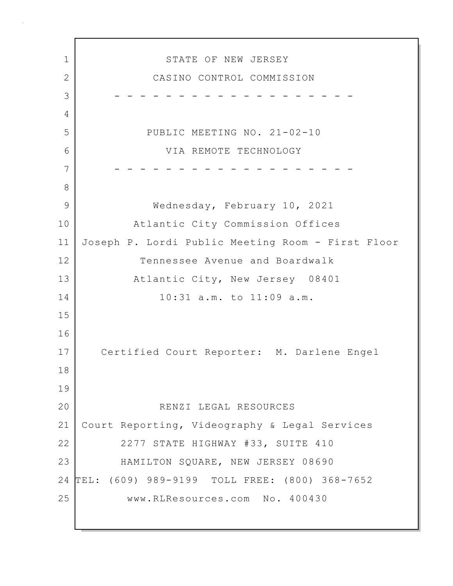1 STATE OF NEW JERSEY 2 CASINO CONTROL COMMISSION 3 - - - - - - - - - - - - - - - - - - - 4 5 PUBLIC MEETING NO. 21-02-10 6 VIA REMOTE TECHNOLOGY 7 - - - - - - - - - - - - - - - - - - - 8 9 | Wednesday, February 10, 2021 10 Atlantic City Commission Offices 11 Joseph P. Lordi Public Meeting Room - First Floor 12 Tennessee Avenue and Boardwalk 13 Atlantic City, New Jersey 08401 14 10:31 a.m. to 11:09 a.m. 15 16 17 Certified Court Reporter: M. Darlene Engel 18 19 20 RENZI LEGAL RESOURCES 21 Court Reporting, Videography & Legal Services 22 2277 STATE HIGHWAY #33, SUITE 410 23 HAMILTON SQUARE, NEW JERSEY 08690 24 TEL: (609) 989-9199 TOLL FREE: (800) 368-7652 25 www.RLResources.com No. 400430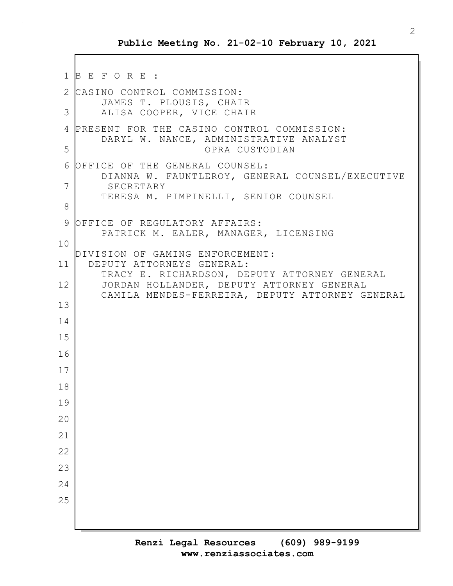```
1 B E F O R E :
2 CASINO CONTROL COMMISSION:
       JAMES T. PLOUSIS, CHAIR
 3 ALISA COOPER, VICE CHAIR
4 PRESENT FOR THE CASINO CONTROL COMMISSION:
       DARYL W. NANCE, ADMINISTRATIVE ANALYST
5 OPRA CUSTODIAN
 6 OFFICE OF THE GENERAL COUNSEL:
       DIANNA W. FAUNTLEROY, GENERAL COUNSEL/EXECUTIVE
7 SECRETARY
       TERESA M. PIMPINELLI, SENIOR COUNSEL
8
9 OFFICE OF REGULATORY AFFAIRS:
       PATRICK M. EALER, MANAGER, LICENSING
10
  DIVISION OF GAMING ENFORCEMENT:
11 DEPUTY ATTORNEYS GENERAL:
       TRACY E. RICHARDSON, DEPUTY ATTORNEY GENERAL
12 JORDAN HOLLANDER, DEPUTY ATTORNEY GENERAL
       CAMILA MENDES-FERREIRA, DEPUTY ATTORNEY GENERAL
13
14
15
16
17
18
19
20
21
22
23
24
25
```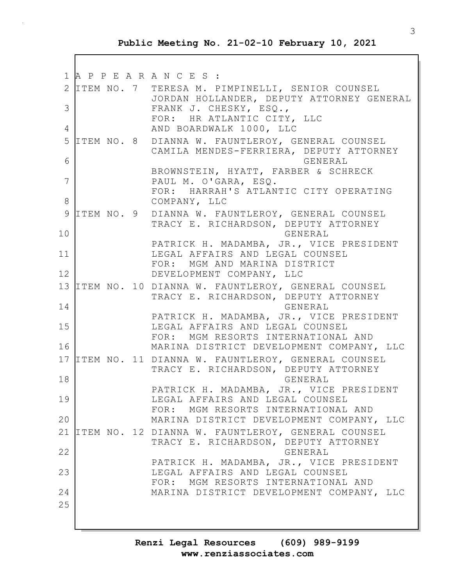|    | 1 A P P E A R A N C E S : |                                                                                                                          |
|----|---------------------------|--------------------------------------------------------------------------------------------------------------------------|
| 3  |                           | 2 ITEM NO. 7 TERESA M. PIMPINELLI, SENIOR COUNSEL<br>JORDAN HOLLANDER, DEPUTY ATTORNEY GENERAL<br>FRANK J. CHESKY, ESQ., |
| 4  |                           | FOR: HR ATLANTIC CITY, LLC<br>AND BOARDWALK 1000, LLC                                                                    |
| 5  |                           | ITEM NO. 8 DIANNA W. FAUNTLEROY, GENERAL COUNSEL<br>CAMILA MENDES-FERRIERA, DEPUTY ATTORNEY                              |
| 6  |                           | GENERAL<br>BROWNSTEIN, HYATT, FARBER & SCHRECK                                                                           |
| 7  |                           | PAUL M. O'GARA, ESQ.<br>FOR: HARRAH'S ATLANTIC CITY OPERATING                                                            |
| 8  |                           | COMPANY, LLC                                                                                                             |
| 9  |                           | ITEM NO. 9 DIANNA W. FAUNTLEROY, GENERAL COUNSEL<br>TRACY E. RICHARDSON, DEPUTY ATTORNEY                                 |
| 10 |                           | GENERAL                                                                                                                  |
| 11 |                           | PATRICK H. MADAMBA, JR., VICE PRESIDENT<br>LEGAL AFFAIRS AND LEGAL COUNSEL<br>FOR: MGM AND MARINA DISTRICT               |
| 12 |                           | DEVELOPMENT COMPANY, LLC                                                                                                 |
|    |                           | 13 ITEM NO. 10 DIANNA W. FAUNTLEROY, GENERAL COUNSEL<br>TRACY E. RICHARDSON, DEPUTY ATTORNEY                             |
| 14 |                           | GENERAL                                                                                                                  |
| 15 |                           | PATRICK H. MADAMBA, JR., VICE PRESIDENT<br>LEGAL AFFAIRS AND LEGAL COUNSEL<br>FOR: MGM RESORTS INTERNATIONAL AND         |
| 16 |                           | MARINA DISTRICT DEVELOPMENT COMPANY, LLC                                                                                 |
| 17 |                           | ITEM NO. 11 DIANNA W. FAUNTLEROY, GENERAL COUNSEL<br>TRACY E. RICHARDSON, DEPUTY ATTORNEY                                |
| 18 |                           | GENERAL<br>PATRICK H. MADAMBA, JR., VICE PRESIDENT                                                                       |
| 19 |                           | LEGAL AFFAIRS AND LEGAL COUNSEL<br>FOR: MGM RESORTS INTERNATIONAL AND                                                    |
| 20 |                           | MARINA DISTRICT DEVELOPMENT COMPANY, LLC                                                                                 |
|    |                           | 21 ITEM NO. 12 DIANNA W. FAUNTLEROY, GENERAL COUNSEL                                                                     |
| 22 |                           | TRACY E. RICHARDSON, DEPUTY ATTORNEY<br>GENERAL                                                                          |
| 23 |                           | PATRICK H. MADAMBA, JR., VICE PRESIDENT<br>LEGAL AFFAIRS AND LEGAL COUNSEL                                               |
| 24 |                           | FOR: MGM RESORTS INTERNATIONAL AND<br>MARINA DISTRICT DEVELOPMENT COMPANY, LLC                                           |
| 25 |                           |                                                                                                                          |
|    |                           |                                                                                                                          |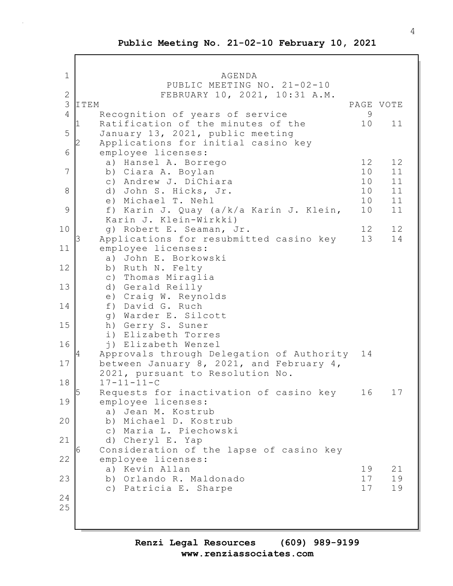1 AGENDA PUBLIC MEETING NO. 21-02-10 2 FEBRUARY 10, 2021, 10:31 A.M. 3 ITEM PAGE VOTE 4 Recognition of years of service 9 Ratification of the minutes of the  $10$  11 5 January 13, 2021, public meeting Applications for initial casino key 6 employee licenses: a) Hansel A. Borrego 12 12 7 b) Ciara A. Boylan 10 11 c) Andrew J. DiChiara 10 11 8 d) John S. Hicks, Jr. 10 11 e) Michael T. Nehl 10 11 9 f) Karin J. Quay (a/k/a Karin J. Klein, 10 11 Karin J. Klein-Wirkki) 10 g) Robert E. Seaman, Jr. 12 12 Applications for resubmitted casino key 13 14 11 employee licenses: a) John E. Borkowski 12 b) Ruth N. Felty c) Thomas Miraglia 13 d) Gerald Reilly e) Craig W. Reynolds 14 f) David G. Ruch g) Warder E. Silcott 15 h) Gerry S. Suner i) Elizabeth Torres 16 j) Elizabeth Wenzel 4 Approvals through Delegation of Authority 14 17 between January 8, 2021, and February 4, 2021, pursuant to Resolution No. 18 17-11-11-C Requests for inactivation of casino key 16 17 19 employee licenses: a) Jean M. Kostrub 20 b) Michael D. Kostrub c) Maria L. Piechowski 21 d) Cheryl E. Yap 6 Consideration of the lapse of casino key 22 employee licenses: a) Kevin Allan 19 21 23 b) Orlando R. Maldonado 17 19 c) Patricia E. Sharpe 17 19 24 25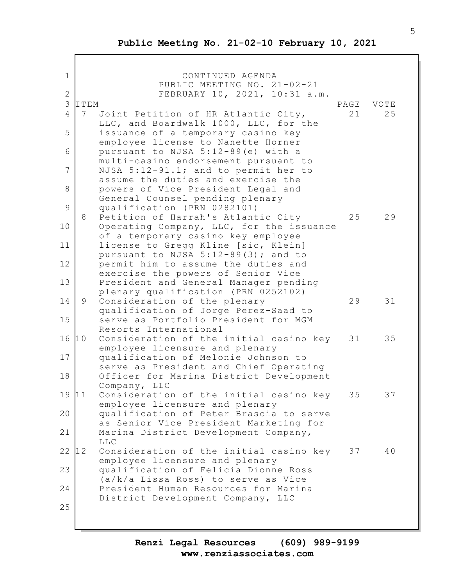Г

| $\mathbf 1$         |      | CONTINUED AGENDA                                                                                                  |      |      |
|---------------------|------|-------------------------------------------------------------------------------------------------------------------|------|------|
|                     |      | PUBLIC MEETING NO. 21-02-21                                                                                       |      |      |
| $\overline{2}$<br>3 | ITEM | FEBRUARY 10, 2021, 10:31 a.m.                                                                                     | PAGE | VOTE |
| $\overline{4}$      | 7    | Joint Petition of HR Atlantic City,                                                                               | 21   | 25   |
| 5                   |      | LLC, and Boardwalk 1000, LLC, for the<br>issuance of a temporary casino key                                       |      |      |
| 6                   |      | employee license to Nanette Horner<br>pursuant to NJSA 5:12-89(e) with a<br>multi-casino endorsement pursuant to  |      |      |
| 7                   |      | NJSA 5:12-91.1; and to permit her to<br>assume the duties and exercise the                                        |      |      |
| 8                   |      | powers of Vice President Legal and<br>General Counsel pending plenary                                             |      |      |
| 9                   | 8    | qualification (PRN 0282101)<br>Petition of Harrah's Atlantic City                                                 | 25   | 29   |
| 10                  |      | Operating Company, LLC, for the issuance<br>of a temporary casino key employee                                    |      |      |
| 11<br>12            |      | license to Gregg Kline [sic, Klein]<br>pursuant to NJSA 5:12-89(3); and to<br>permit him to assume the duties and |      |      |
| 13                  |      | exercise the powers of Senior Vice<br>President and General Manager pending                                       |      |      |
| 14                  | 9    | plenary qualification (PRN 0252102)<br>Consideration of the plenary                                               | 29   | 31   |
| 15                  |      | qualification of Jorge Perez-Saad to<br>serve as Portfolio President for MGM                                      |      |      |
| 16                  | 10   | Resorts International<br>Consideration of the initial casino key<br>employee licensure and plenary                | 31   | 35   |
| 17                  |      | qualification of Melonie Johnson to<br>serve as President and Chief Operating                                     |      |      |
| 18                  |      | Officer for Marina District Development<br>Company, LLC                                                           |      |      |
| 19                  | 11   | Consideration of the initial casino key<br>employee licensure and plenary                                         | 35   | 37   |
| 20                  |      | qualification of Peter Brascia to serve<br>as Senior Vice President Marketing for                                 |      |      |
| 21                  |      | Marina District Development Company,<br><b>LLC</b>                                                                |      |      |
| 22                  | 12   | Consideration of the initial casino key<br>employee licensure and plenary                                         | 37   | 40   |
| 23                  |      | qualification of Felicia Dionne Ross<br>(a/k/a Lissa Ross) to serve as Vice                                       |      |      |
| 24                  |      | President Human Resources for Marina<br>District Development Company, LLC                                         |      |      |
| 25                  |      |                                                                                                                   |      |      |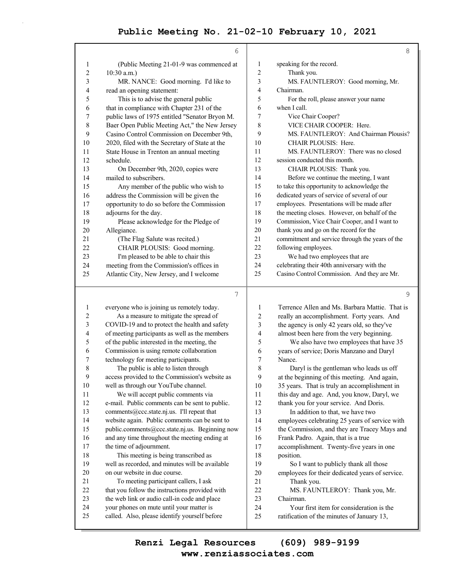$\bar{z}$ 

|                | 6                                              |                | 8                                               |
|----------------|------------------------------------------------|----------------|-------------------------------------------------|
| 1              | (Public Meeting 21-01-9 was commenced at       | 1              | speaking for the record.                        |
| 2              | $10:30$ a.m.)                                  | $\overline{c}$ | Thank you.                                      |
| 3              | MR. NANCE: Good morning. I'd like to           | 3              | MS. FAUNTLEROY: Good morning, Mr.               |
| 4              | read an opening statement:                     | 4              | Chairman.                                       |
| 5              | This is to advise the general public           | 5              | For the roll, please answer your name           |
| 6              | that in compliance with Chapter 231 of the     | 6              | when I call.                                    |
| 7              | public laws of 1975 entitled "Senator Bryon M. | 7              | Vice Chair Cooper?                              |
| 8              | Baer Open Public Meeting Act," the New Jersey  | 8              | VICE CHAIR COOPER: Here.                        |
| 9              | Casino Control Commission on December 9th,     | 9              | MS. FAUNTLEROY: And Chairman Plousis?           |
| 10             | 2020, filed with the Secretary of State at the | 10             | CHAIR PLOUSIS: Here.                            |
| 11             | State House in Trenton an annual meeting       | 11             | MS. FAUNTLEROY: There was no closed             |
| 12             | schedule.                                      | 12             | session conducted this month.                   |
| 13             | On December 9th, 2020, copies were             | 13             | CHAIR PLOUSIS: Thank you.                       |
| 14             | mailed to subscribers.                         | 14             | Before we continue the meeting, I want          |
| 15             | Any member of the public who wish to           | 15             | to take this opportunity to acknowledge the     |
| 16             | address the Commission will be given the       | 16             | dedicated years of service of several of our    |
| 17             | opportunity to do so before the Commission     | 17             | employees. Presentations will be made after     |
| 18             | adjourns for the day.                          | 18             | the meeting closes. However, on behalf of the   |
| 19             | Please acknowledge for the Pledge of           | 19             | Commission, Vice Chair Cooper, and I want to    |
| 20             | Allegiance.                                    | 20             | thank you and go on the record for the          |
| 21             | (The Flag Salute was recited.)                 | 21             | commitment and service through the years of the |
| 22             | CHAIR PLOUSIS: Good morning.                   | 22             | following employees.                            |
| 23             | I'm pleased to be able to chair this           | 23             | We had two employees that are                   |
| 24             | meeting from the Commission's offices in       | 24             | celebrating their 40th anniversary with the     |
| 25             | Atlantic City, New Jersey, and I welcome       | 25             | Casino Control Commission. And they are Mr.     |
|                | 7                                              |                | 9                                               |
| 1              | everyone who is joining us remotely today.     | 1              | Terrence Allen and Ms. Barbara Mattie. That is  |
| $\mathfrak{D}$ | As a measure to mitigate the spread of         | $\mathfrak{D}$ | really an accomplishment. Forty years. And      |

| 1  | everyone who is joining us remotely today.      | 1              | Terrence Allen and Ms. Barbara Mattie. That is  |
|----|-------------------------------------------------|----------------|-------------------------------------------------|
| 2  | As a measure to mitigate the spread of          | 2              | really an accomplishment. Forty years. And      |
| 3  | COVID-19 and to protect the health and safety   | 3              | the agency is only 42 years old, so they've     |
| 4  | of meeting participants as well as the members  | $\overline{4}$ | almost been here from the very beginning.       |
| 5  | of the public interested in the meeting, the    | 5              | We also have two employees that have 35         |
| 6  | Commission is using remote collaboration        | 6              | years of service; Doris Manzano and Daryl       |
| 7  | technology for meeting participants.            | 7              | Nance.                                          |
| 8  | The public is able to listen through            | 8              | Daryl is the gentleman who leads us off         |
| 9  | access provided to the Commission's website as  | 9              | at the beginning of this meeting. And again,    |
| 10 | well as through our YouTube channel.            | 10             | 35 years. That is truly an accomplishment in    |
| 11 | We will accept public comments via              | 11             | this day and age. And, you know, Daryl, we      |
| 12 | e-mail. Public comments can be sent to public.  | 12             | thank you for your service. And Doris.          |
| 13 | comments@ccc.state.nj.us. I'll repeat that      | 13             | In addition to that, we have two                |
| 14 | website again. Public comments can be sent to   | 14             | employees celebrating 25 years of service with  |
| 15 | public.comments@ccc.state.nj.us. Beginning now  | 15             | the Commission, and they are Tracey Mays and    |
| 16 | and any time throughout the meeting ending at   | 16             | Frank Padro. Again, that is a true              |
| 17 | the time of adjournment.                        | 17             | accomplishment. Twenty-five years in one        |
| 18 | This meeting is being transcribed as            | 18             | position.                                       |
| 19 | well as recorded, and minutes will be available | 19             | So I want to publicly thank all those           |
| 20 | on our website in due course.                   | 20             | employees for their dedicated years of service. |
| 21 | To meeting participant callers, I ask           | 21             | Thank you.                                      |
| 22 | that you follow the instructions provided with  | 22             | MS. FAUNTLEROY: Thank you, Mr.                  |
| 23 | the web link or audio call-in code and place    | 23             | Chairman.                                       |
| 24 | your phones on mute until your matter is        | 24             | Your first item for consideration is the        |
| 25 | called. Also, please identify yourself before   | 25             | ratification of the minutes of January 13,      |
|    |                                                 |                |                                                 |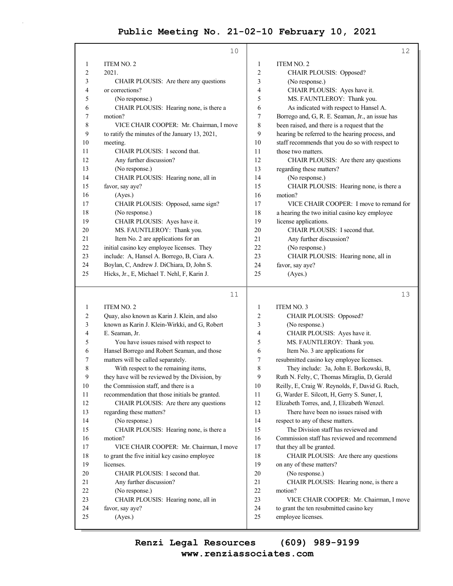|                | 10                                             |                | 12                                              |
|----------------|------------------------------------------------|----------------|-------------------------------------------------|
| 1              | ITEM NO. 2                                     | 1              | ITEM NO. 2                                      |
| $\overline{c}$ | 2021.                                          | $\overline{2}$ | CHAIR PLOUSIS: Opposed?                         |
| 3              | CHAIR PLOUSIS: Are there any questions         | 3              | (No response.)                                  |
| 4              | or corrections?                                | 4              | CHAIR PLOUSIS: Ayes have it.                    |
| 5              | (No response.)                                 | 5              | MS. FAUNTLEROY: Thank you.                      |
| 6              | CHAIR PLOUSIS: Hearing none, is there a        | 6              | As indicated with respect to Hansel A.          |
| 7              | motion?                                        | 7              | Borrego and, G, R. E. Seaman, Jr., an issue has |
| 8              | VICE CHAIR COOPER: Mr. Chairman, I move        | 8              | been raised, and there is a request that the    |
| 9              | to ratify the minutes of the January 13, 2021, | 9              | hearing be referred to the hearing process, and |
| 10             | meeting.                                       | 10             | staff recommends that you do so with respect to |
| 11             | CHAIR PLOUSIS: I second that.                  | 11             | those two matters.                              |
| 12             | Any further discussion?                        | 12             | CHAIR PLOUSIS: Are there any questions          |
| 13             | (No response.)                                 | 13             | regarding these matters?                        |
| 14             | CHAIR PLOUSIS: Hearing none, all in            | 14             | (No response.)                                  |
| 15             | favor, say aye?                                | 15             | CHAIR PLOUSIS: Hearing none, is there a         |
| 16             | (Ayes.)                                        | 16             | motion?                                         |
| 17             | CHAIR PLOUSIS: Opposed, same sign?             | 17             | VICE CHAIR COOPER: I move to remand for         |
| 18             | (No response.)                                 | 18             | a hearing the two initial casino key employee   |
| 19             | CHAIR PLOUSIS: Ayes have it.                   | 19             | license applications.                           |
| 20             | MS. FAUNTLEROY: Thank you.                     | 20             | CHAIR PLOUSIS: I second that.                   |
| 21             | Item No. 2 are applications for an             | 21             | Any further discussion?                         |
| 22             | initial casino key employee licenses. They     | 22             | (No response.)                                  |
| 23             | include: A, Hansel A. Borrego, B, Ciara A.     | 23             | CHAIR PLOUSIS: Hearing none, all in             |
| 24             | Boylan, C, Andrew J. DiChiara, D, John S.      | 24             | favor, say aye?                                 |
| 25             | Hicks, Jr., E, Michael T. Nehl, F, Karin J.    | 25             | (Ayes.)                                         |
|                |                                                |                |                                                 |

| ۰. |  |
|----|--|
|    |  |
|    |  |
|    |  |

13

| 1  | <b>ITEM NO. 2</b>                              | 1  | <b>ITEM NO. 3</b>                               |
|----|------------------------------------------------|----|-------------------------------------------------|
| 2  | Quay, also known as Karin J. Klein, and also   | 2  | CHAIR PLOUSIS: Opposed?                         |
| 3  | known as Karin J. Klein-Wirkki, and G, Robert  | 3  | (No response.)                                  |
| 4  | E. Seaman, Jr.                                 | 4  | CHAIR PLOUSIS: Ayes have it.                    |
| 5  | You have issues raised with respect to         | 5  | MS. FAUNTLEROY: Thank you.                      |
| 6  | Hansel Borrego and Robert Seaman, and those    | 6  | Item No. 3 are applications for                 |
| 7  | matters will be called separately.             | 7  | resubmitted casino key employee licenses.       |
| 8  | With respect to the remaining items,           | 8  | They include: 3a, John E. Borkowski, B,         |
| 9  | they have will be reviewed by the Division, by | 9  | Ruth N. Felty, C, Thomas Miraglia, D, Gerald    |
| 10 | the Commission staff, and there is a           | 10 | Reilly, E, Craig W. Reynolds, F, David G. Ruch, |
| 11 | recommendation that those initials be granted. | 11 | G, Warder E. Silcott, H, Gerry S. Suner, I,     |
| 12 | CHAIR PLOUSIS: Are there any questions         | 12 | Elizabeth Torres, and, J, Elizabeth Wenzel.     |
| 13 | regarding these matters?                       | 13 | There have been no issues raised with           |
| 14 | (No response.)                                 | 14 | respect to any of these matters.                |
| 15 | CHAIR PLOUSIS: Hearing none, is there a        | 15 | The Division staff has reviewed and             |
| 16 | motion?                                        | 16 | Commission staff has reviewed and recommend     |
| 17 | VICE CHAIR COOPER: Mr. Chairman, I move        | 17 | that they all be granted.                       |
| 18 | to grant the five initial key casino employee  | 18 | CHAIR PLOUSIS: Are there any questions          |
| 19 | licenses.                                      | 19 | on any of these matters?                        |
| 20 | CHAIR PLOUSIS: I second that.                  | 20 | (No response.)                                  |
| 21 | Any further discussion?                        | 21 | CHAIR PLOUSIS: Hearing none, is there a         |
| 22 | (No response.)                                 | 22 | motion?                                         |
| 23 | CHAIR PLOUSIS: Hearing none, all in            | 23 | VICE CHAIR COOPER: Mr. Chairman, I move         |
| 24 | favor, say aye?                                | 24 | to grant the ten resubmitted casino key         |
| 25 | (Ayes.)                                        | 25 | employee licenses.                              |
|    |                                                |    |                                                 |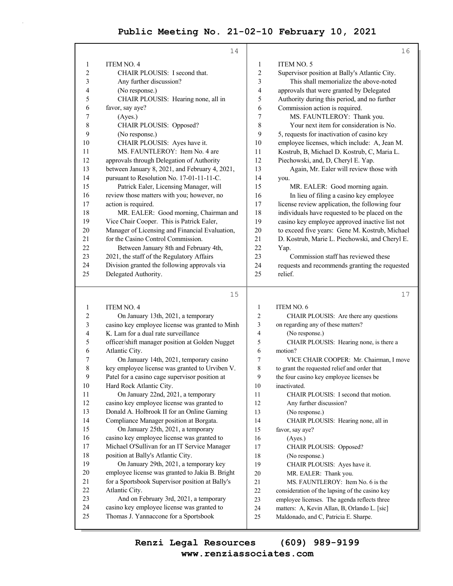|                  | 14                                                                                  |                | 16                                             |
|------------------|-------------------------------------------------------------------------------------|----------------|------------------------------------------------|
|                  |                                                                                     |                |                                                |
| 1                | <b>ITEM NO. 4</b>                                                                   | 1              | <b>ITEM NO. 5</b>                              |
| $\overline{c}$   | CHAIR PLOUSIS: I second that.                                                       | 2              | Supervisor position at Bally's Atlantic City.  |
| 3                | Any further discussion?                                                             | 3              | This shall memorialize the above-noted         |
| 4                | (No response.)                                                                      | $\overline{4}$ | approvals that were granted by Delegated       |
| 5                | CHAIR PLOUSIS: Hearing none, all in                                                 | 5              | Authority during this period, and no further   |
| 6                | favor, say aye?                                                                     | 6              | Commission action is required.                 |
| 7                | (Ayes.)                                                                             | 7              | MS. FAUNTLEROY: Thank you.                     |
| $\,$ 8 $\,$      | CHAIR PLOUSIS: Opposed?                                                             | 8              | Your next item for consideration is No.        |
| 9                | (No response.)                                                                      | 9              | 5, requests for inactivation of casino key     |
| 10               | CHAIR PLOUSIS: Ayes have it.                                                        | 10             | employee licenses, which include: A, Jean M.   |
| 11               | MS. FAUNTLEROY: Item No. 4 are                                                      | 11             | Kostrub, B, Michael D. Kostrub, C, Maria L.    |
| 12               | approvals through Delegation of Authority                                           | 12             | Piechowski, and, D, Cheryl E. Yap.             |
| 13               | between January 8, 2021, and February 4, 2021,                                      | 13             | Again, Mr. Ealer will review those with        |
| 14               | pursuant to Resolution No. 17-01-11-11-C.                                           | 14             | you.                                           |
| 15               | Patrick Ealer, Licensing Manager, will                                              | 15             | MR. EALER: Good morning again.                 |
| 16               | review those matters with you; however, no                                          | 16             | In lieu of filing a casino key employee        |
| 17               | action is required.                                                                 | 17             | license review application, the following four |
| 18               | MR. EALER: Good morning, Chairman and                                               | 18             | individuals have requested to be placed on the |
| 19               | Vice Chair Cooper. This is Patrick Ealer,                                           | 19             | casino key employee approved inactive list not |
| 20               | Manager of Licensing and Financial Evaluation,                                      | 20             | to exceed five years: Gene M. Kostrub, Michael |
| 21               | for the Casino Control Commission.                                                  | 21             | D. Kostrub, Marie L. Piechowski, and Cheryl E. |
| 22               | Between January 8th and February 4th,                                               | 22             | Yap.                                           |
| 23               | 2021, the staff of the Regulatory Affairs                                           | 23             | Commission staff has reviewed these            |
| 24               | Division granted the following approvals via                                        | 24             | requests and recommends granting the requested |
| 25               | Delegated Authority.                                                                | 25             | relief.                                        |
|                  | 15                                                                                  |                | 17                                             |
| 1                | <b>ITEM NO. 4</b>                                                                   | 1              | ITEM NO. 6                                     |
| $\overline{2}$   | On January 13th, 2021, a temporary                                                  | $\overline{2}$ | CHAIR PLOUSIS: Are there any questions         |
| 3                | casino key employee license was granted to Minh                                     | 3              | on regarding any of these matters?             |
| 4                | K. Lam for a dual rate surveillance                                                 | $\overline{4}$ | (No response.)                                 |
| 5                | officer/shift manager position at Golden Nugget                                     | 5              | CHAIR PLOUSIS: Hearing none, is there a        |
| 6                | Atlantic City.                                                                      | 6              | motion?                                        |
| 7                | On January 14th, 2021, temporary casino                                             | 7              | VICE CHAIR COOPER: Mr. Chairman, I move        |
| 8                | key employee license was granted to Urviben V.                                      | 8              | to grant the requested relief and order that   |
| $\boldsymbol{9}$ | Patel for a casino cage supervisor position at                                      | 9              | the four casino key employee licenses be       |
| $10\,$           | Hard Rock Atlantic City.                                                            | 10             | inactivated.                                   |
| 11               | On January 22nd, 2021, a temporary                                                  | 11             | CHAIR PLOUSIS: I second that motion.           |
| 12               | casino key employee license was granted to                                          | 12             | Any further discussion?                        |
| 13               | Donald A. Holbrook II for an Online Gaming                                          | 13             | (No response.)                                 |
| 14               | Compliance Manager position at Borgata.                                             | 14             | CHAIR PLOUSIS: Hearing none, all in            |
| 15               | On January 25th, 2021, a temporary                                                  | 15             | favor, say aye?                                |
| 16               | casino key employee license was granted to                                          | 16             | (Ayes.)                                        |
| 17               | Michael O'Sullivan for an IT Service Manager                                        | 17             | CHAIR PLOUSIS: Opposed?                        |
| 18               | position at Bally's Atlantic City.                                                  | $18\,$         | (No response.)                                 |
| 19               | On January 29th, 2021, a temporary key                                              | 19             | CHAIR PLOUSIS: Ayes have it.                   |
| 20               | employee license was granted to Jakia B. Bright                                     | $20\,$         | MR. EALER: Thank you.                          |
| 21               | for a Sportsbook Supervisor position at Bally's                                     | 21             | MS. FAUNTLEROY: Item No. 6 is the              |
| 22               | Atlantic City.                                                                      | 22             | consideration of the lapsing of the casino key |
|                  |                                                                                     |                |                                                |
| 23               | And on February 3rd, 2021, a temporary                                              | 23             | employee licenses. The agenda reflects three   |
| 24<br>25         | casino key employee license was granted to<br>Thomas J. Yannaccone for a Sportsbook | 24<br>25       | matters: A, Kevin Allan, B, Orlando L. [sic]   |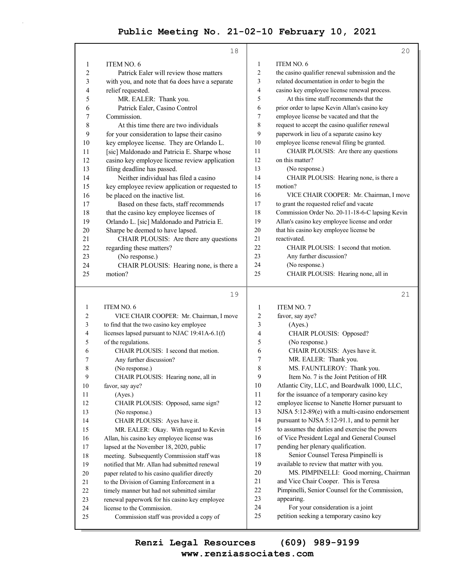|                          | 18                                                                    |                | 20                                                                           |
|--------------------------|-----------------------------------------------------------------------|----------------|------------------------------------------------------------------------------|
| 1                        | ITEM NO. 6                                                            | $\mathbf{1}$   | ITEM NO. 6                                                                   |
| $\overline{2}$           | Patrick Ealer will review those matters                               | 2              | the casino qualifier renewal submission and the                              |
| 3                        | with you, and note that 6a does have a separate                       | 3              | related documentation in order to begin the                                  |
| $\overline{\mathcal{A}}$ | relief requested.                                                     | $\overline{4}$ | casino key employee license renewal process.                                 |
| 5                        | MR. EALER: Thank you.                                                 | 5              | At this time staff recommends that the                                       |
| 6                        | Patrick Ealer, Casino Control                                         | 6              | prior order to lapse Kevin Allan's casino key                                |
| 7                        | Commission.                                                           | 7              | employee license be vacated and that the                                     |
| 8                        | At this time there are two individuals                                | 8              | request to accept the casino qualifier renewal                               |
| 9                        | for your consideration to lapse their casino                          | 9              | paperwork in lieu of a separate casino key                                   |
| 10                       | key employee license. They are Orlando L.                             | 10             | employee license renewal filing be granted.                                  |
| 11                       | [sic] Maldonado and Patricia E. Sharpe whose                          | 11             | CHAIR PLOUSIS: Are there any questions                                       |
| 12                       | casino key employee license review application                        | 12             | on this matter?                                                              |
| 13                       | filing deadline has passed.                                           | 13             | (No response.)                                                               |
| 14                       | Neither individual has filed a casino                                 | 14             | CHAIR PLOUSIS: Hearing none, is there a                                      |
| 15                       | key employee review application or requested to                       | 15             | motion?                                                                      |
| 16                       | be placed on the inactive list.                                       | 16             | VICE CHAIR COOPER: Mr. Chairman, I move                                      |
| 17                       | Based on these facts, staff recommends                                | 17             | to grant the requested relief and vacate                                     |
| 18                       | that the casino key employee licenses of                              | 18             | Commission Order No. 20-11-18-6-C lapsing Kevin                              |
| 19                       | Orlando L. [sic] Maldonado and Patricia E.                            | 19             | Allan's casino key employee license and order                                |
| 20                       | Sharpe be deemed to have lapsed.                                      | 20             | that his casino key employee license be                                      |
| 21                       | CHAIR PLOUSIS: Are there any questions                                | 21             | reactivated.                                                                 |
| 22                       | regarding these matters?                                              | 22             | CHAIR PLOUSIS: I second that motion.                                         |
| 23                       | (No response.)                                                        | 23             | Any further discussion?                                                      |
| 24                       | CHAIR PLOUSIS: Hearing none, is there a                               | 24             | (No response.)                                                               |
| 25                       | motion?                                                               | 25             | CHAIR PLOUSIS: Hearing none, all in                                          |
|                          |                                                                       |                |                                                                              |
|                          |                                                                       |                |                                                                              |
|                          | 19                                                                    |                | 21                                                                           |
| 1                        | ITEM NO. 6                                                            | 1              | <b>ITEM NO. 7</b>                                                            |
| 2                        | VICE CHAIR COOPER: Mr. Chairman, I move                               | 2              | favor, say aye?                                                              |
| 3                        | to find that the two casino key employee                              | 3              | (Ayes.)                                                                      |
| 4                        | licenses lapsed pursuant to NJAC 19:41A-6.1(f)                        | 4              | CHAIR PLOUSIS: Opposed?                                                      |
| 5                        | of the regulations.                                                   | 5              | (No response.)                                                               |
| 6                        | CHAIR PLOUSIS: I second that motion.                                  | 6              | CHAIR PLOUSIS: Ayes have it.                                                 |
| 7                        | Any further discussion?                                               | 7              | MR. EALER: Thank you.                                                        |
| 8                        | (No response.)                                                        | 8              | MS. FAUNTLEROY: Thank you.                                                   |
| $\boldsymbol{9}$         | CHAIR PLOUSIS: Hearing none, all in                                   | 9              | Item No. 7 is the Joint Petition of HR                                       |
| 10                       | favor, say aye?                                                       | 10             | Atlantic City, LLC, and Boardwalk 1000, LLC,                                 |
| 11                       | (Ayes.)                                                               | 11             | for the issuance of a temporary casino key                                   |
| 12                       | CHAIR PLOUSIS: Opposed, same sign?                                    | 12             | employee license to Nanette Horner pursuant to                               |
| 13                       | (No response.)                                                        | 13             | NJSA 5:12-89(e) with a multi-casino endorsement                              |
| 14                       | CHAIR PLOUSIS: Ayes have it.                                          | 14             | pursuant to NJSA 5:12-91.1, and to permit her                                |
| 15                       | MR. EALER: Okay. With regard to Kevin                                 | 15             | to assumes the duties and exercise the powers                                |
| 16                       | Allan, his casino key employee license was                            | 16             | of Vice President Legal and General Counsel                                  |
| 17                       | lapsed at the November 18, 2020, public                               | 17             | pending her plenary qualification.                                           |
| $18\,$                   | meeting. Subsequently Commission staff was                            | 18             | Senior Counsel Teresa Pimpinelli is                                          |
| 19                       | notified that Mr. Allan had submitted renewal                         | 19             | available to review that matter with you.                                    |
| 20                       | paper related to his casino qualifier directly                        | 20             | MS. PIMPINELLI: Good morning, Chairman                                       |
| 21                       | to the Division of Gaming Enforcement in a                            | 21             | and Vice Chair Cooper. This is Teresa                                        |
| 22                       | timely manner but had not submitted similar                           | 22             | Pimpinelli, Senior Counsel for the Commission,                               |
| 23                       | renewal paperwork for his casino key employee                         | 23             | appearing.                                                                   |
| 24<br>25                 | license to the Commission.<br>Commission staff was provided a copy of | 24<br>25       | For your consideration is a joint<br>petition seeking a temporary casino key |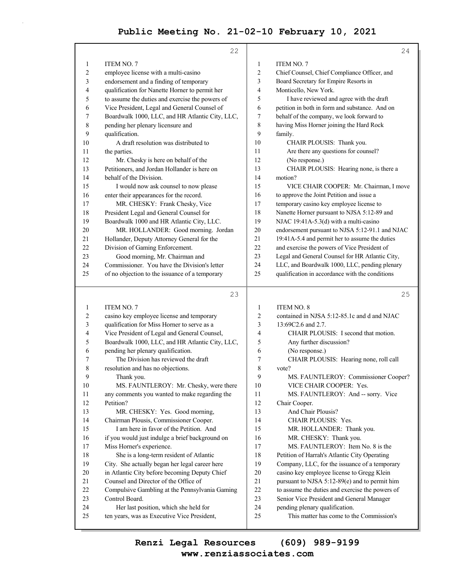|    | 22                                              |                | 24                                              |
|----|-------------------------------------------------|----------------|-------------------------------------------------|
| 1  | ITEM NO. 7                                      | $\mathbf{1}$   | ITEM NO. 7                                      |
| 2  | employee license with a multi-casino            | 2              | Chief Counsel, Chief Compliance Officer, and    |
| 3  | endorsement and a finding of temporary          | 3              | Board Secretary for Empire Resorts in           |
| 4  | qualification for Nanette Horner to permit her  | 4              | Monticello, New York.                           |
| 5  | to assume the duties and exercise the powers of | 5              | I have reviewed and agree with the draft        |
| 6  | Vice President, Legal and General Counsel of    | 6              | petition in both in form and substance. And on  |
| 7  | Boardwalk 1000, LLC, and HR Atlantic City, LLC, | 7              | behalf of the company, we look forward to       |
| 8  | pending her plenary licensure and               | 8              | having Miss Horner joining the Hard Rock        |
| 9  | qualification.                                  | 9              | family.                                         |
| 10 | A draft resolution was distributed to           | 10             | CHAIR PLOUSIS: Thank you.                       |
| 11 | the parties.                                    | 11             | Are there any questions for counsel?            |
| 12 | Mr. Chesky is here on behalf of the             | 12             | (No response.)                                  |
| 13 | Petitioners, and Jordan Hollander is here on    | 13             | CHAIR PLOUSIS: Hearing none, is there a         |
| 14 | behalf of the Division.                         | 14             | motion?                                         |
| 15 | I would now ask counsel to now please           | 15             | VICE CHAIR COOPER: Mr. Chairman, I move         |
| 16 | enter their appearances for the record.         | 16             | to approve the Joint Petition and issue a       |
| 17 | MR. CHESKY: Frank Chesky, Vice                  | 17             | temporary casino key employee license to        |
| 18 | President Legal and General Counsel for         | 18             | Nanette Horner pursuant to NJSA 5:12-89 and     |
| 19 | Boardwalk 1000 and HR Atlantic City, LLC.       | 19             | NJAC 19:41A-5.3(d) with a multi-casino          |
| 20 | MR. HOLLANDER: Good morning. Jordan             | 20             | endorsement pursuant to NJSA 5:12-91.1 and NJAC |
| 21 | Hollander, Deputy Attorney General for the      | 21             | 19:41A-5.4 and permit her to assume the duties  |
| 22 | Division of Gaming Enforcement.                 | 22             | and exercise the powers of Vice President of    |
| 23 | Good morning, Mr. Chairman and                  | 23             | Legal and General Counsel for HR Atlantic City, |
| 24 | Commissioner. You have the Division's letter    | 24             | LLC, and Boardwalk 1000, LLC, pending plenary   |
| 25 | of no objection to the issuance of a temporary  | 25             | qualification in accordance with the conditions |
|    | 23                                              |                | 25                                              |
| 1  | ITEM NO. 7                                      | $\mathbf{1}$   | ITEM NO. 8                                      |
| 2  | casino key employee license and temporary       | $\overline{c}$ | contained in NJSA 5:12-85.1c and d and NJAC     |
| 3  | qualification for Miss Horner to serve as a     | 3              | 13:69C2.6 and 2.7.                              |
| 4  | Vice President of Legal and General Counsel,    | 4              | CHAIR PLOUSIS: I second that motion.            |
| 5  | Boardwalk 1000, LLC, and HR Atlantic City, LLC, | 5              | Any further discussion?                         |
| 6  | pending her plenary qualification.              | 6              | (No response.)                                  |
| 7  | The Division has reviewed the draft             | 7              | CHAIR PLOUSIS: Hearing none, roll call          |
| 8  | resolution and has no objections.               | 8              | vote?                                           |

9 MS. FAUNTLEROY: Commissioner Cooper?

- 10 VICE CHAIR COOPER: Yes.
- 11 MS. FAUNTLEROY: And -- sorry. Vice
- 12 Chair Cooper.
- 13 And Chair Plousis?
- 14 CHAIR PLOUSIS: Yes.
- 15 MR. HOLLANDER: Thank you.
- 16 MR. CHESKY: Thank you.

17 MS. FAUNTLEROY: Item No. 8 is the

18 Petition of Harrah's Atlantic City Operating

19 Company, LLC, for the issuance of a temporary

20 casino key employee license to Gregg Klein

- 21 pursuant to NJSA 5:12-89(e) and to permit him
- 22 to assume the duties and exercise the powers of
- 23 Senior Vice President and General Manager
- 24 pending plenary qualification.

**www.renziassociates.com Renzi Legal Resources (609) 989-9199**

9 Thank you.

17 Miss Horner's experience.

23 Control Board.

12 Petition?

10 MS. FAUNTLEROY: Mr. Chesky, were there 11 any comments you wanted to make regarding the

13 MR. CHESKY: Yes. Good morning, 14 Chairman Plousis, Commissioner Cooper. 15 I am here in favor of the Petition. And 16 if you would just indulge a brief background on

18 She is a long-term resident of Atlantic 19 City. She actually began her legal career here 20 in Atlantic City before becoming Deputy Chief

22 Compulsive Gambling at the Pennsylvania Gaming

21 Counsel and Director of the Office of

24 Her last position, which she held for 25 ten years, was as Executive Vice President,

<sup>25</sup> This matter has come to the Commission's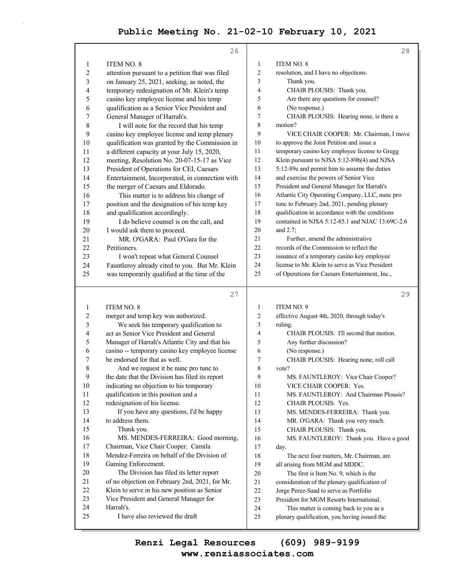|                  | 26                                                  |                       | 28                                                                                 |
|------------------|-----------------------------------------------------|-----------------------|------------------------------------------------------------------------------------|
|                  |                                                     |                       |                                                                                    |
| 1                | <b>ITEM NO. 8</b>                                   | $\mathbf{1}$          | ITEM NO. 8                                                                         |
| 2                | attention pursuant to a petition that was filed     | 2                     | resolution, and I have no objections.                                              |
| 3                | on January 25, 2021, seeking, as noted, the         | 3                     | Thank you.                                                                         |
| 4                | temporary redesignation of Mr. Klein's temp         | 4                     | CHAIR PLOUSIS: Thank you.                                                          |
| 5                | casino key employee license and his temp            | 5                     | Are there any questions for counsel?                                               |
| 6                | qualification as a Senior Vice President and        | 6                     | (No response.)                                                                     |
| 7                | General Manager of Harrah's.                        | $\tau$                | CHAIR PLOUSIS: Hearing none, is there a                                            |
| 8                | I will note for the record that his temp            | 8                     | motion?                                                                            |
| 9                | casino key employee license and temp plenary        | 9                     | VICE CHAIR COOPER: Mr. Chairman, I move                                            |
| 10               | qualification was granted by the Commission in      | $10\,$                | to approve the Joint Petition and issue a                                          |
| 11               | a different capacity at your July 15, 2020,         | 11                    | temporary casino key employee license to Gregg                                     |
| 12               | meeting, Resolution No. 20-07-15-17 as Vice         | 12                    | Klein pursuant to NJSA 5:12-89b(4) and NJSA                                        |
| 13               | President of Operations for CEI, Caesars            | 13                    | 5:12-89e and permit him to assume the duties                                       |
| 14               | Entertainment, Incorporated, in connection with     | 14                    | and exercise the powers of Senior Vice                                             |
| 15               | the merger of Caesars and Eldorado.                 | 15                    | President and General Manager for Harrah's                                         |
| 16               | This matter is to address his change of             | 16                    | Atlantic City Operating Company, LLC, nunc pro                                     |
| 17               | position and the designation of his temp key        | 17                    | tunc to February 2nd, 2021, pending plenary                                        |
| 18               | and qualification accordingly.                      | 18                    | qualification in accordance with the conditions                                    |
| 19               | I do believe counsel is on the call, and            | 19                    | contained in NJSA 5:12-85.1 and NJAC 13:69C-2.6                                    |
| 20               | I would ask them to proceed.                        | 20                    | and 2.7;                                                                           |
| 21               | MR. O'GARA: Paul O'Gara for the                     | 21                    | Further, amend the administrative                                                  |
| 22               | Petitioners.                                        | 22                    | records of the Commission to reflect the                                           |
| 23               | I won't repeat what General Counsel                 | 23                    | issuance of a temporary casino key employee                                        |
| 24               | Fauntleroy already cited to you. But Mr. Klein      | 24                    | license to Mr. Klein to serve as Vice President                                    |
| 25               | was temporarily qualified at the time of the        | 25                    | of Operations for Caesars Entertainment, Inc.,                                     |
|                  |                                                     |                       |                                                                                    |
|                  | 27                                                  |                       | 29                                                                                 |
|                  |                                                     |                       |                                                                                    |
| 1                | <b>ITEM NO. 8</b>                                   | $\mathbf{1}$          | ITEM NO. 9                                                                         |
| 2                | merger and temp key was authorized.                 | $\boldsymbol{2}$      | effective August 4th, 2020, through today's                                        |
| 3                | We seek his temporary qualification to              | 3                     | ruling.                                                                            |
| 4                | act as Senior Vice President and General            | 4                     | CHAIR PLOUSIS: I'll second that motion.                                            |
| 5                | Manager of Harrah's Atlantic City and that his      | 5                     | Any further discussion?                                                            |
| 6                | casino -- temporary casino key employee license     | 6                     | (No response.)                                                                     |
| 7<br>8           | be endorsed for that as well.                       | $\boldsymbol{7}$<br>8 | CHAIR PLOUSIS: Hearing none, roll call                                             |
|                  | And we request it be nunc pro tunc to               |                       | vote?                                                                              |
| $\boldsymbol{9}$ | the date that the Division has filed its report     | 9                     | MS. FAUNTLEROY: Vice Chair Cooper?                                                 |
| $10\,$           | indicating no objection to his temporary            | 10                    | VICE CHAIR COOPER: Yes.                                                            |
| 11               | qualification in this position and a                | 11                    | MS. FAUNTLEROY: And Chairman Plousis?                                              |
| 12               | redesignation of his license.                       | 12                    | CHAIR PLOUSIS: Yes.                                                                |
| 13               | If you have any questions, I'd be happy             | 13                    | MS. MENDES-FERREIRA: Thank you.                                                    |
| 14               | to address them.                                    | 14<br>15              | MR. O'GARA: Thank you very much.                                                   |
| 15               | Thank you.                                          |                       | CHAIR PLOUSIS: Thank you.                                                          |
| 16               | MS. MENDES-FERREIRA: Good morning,                  | 16                    | MS. FAUNTLEROY: Thank you. Have a good                                             |
| 17               | Chairman, Vice Chair Cooper. Camila                 | 17                    | day.                                                                               |
| 18               | Mendez-Ferreira on behalf of the Division of        | 18                    | The next four matters, Mr. Chairman, are                                           |
| 19<br>20         | Gaming Enforcement.                                 | 19                    | all arising from MGM and MDDC.                                                     |
| 21               | The Division has filed its letter report            | $20\,$                | The first is Item No. 9, which is the                                              |
| 22               | of no objection on February 2nd, 2021, for Mr.      | 21                    | consideration of the plenary qualification of                                      |
| 23               | Klein to serve in his new position as Senior        | 22                    | Jorge Perez-Saad to serve as Portfolio                                             |
| 24               | Vice President and General Manager for<br>Harrah's. | 23<br>24              | President for MGM Resorts International.<br>This matter is coming back to you as a |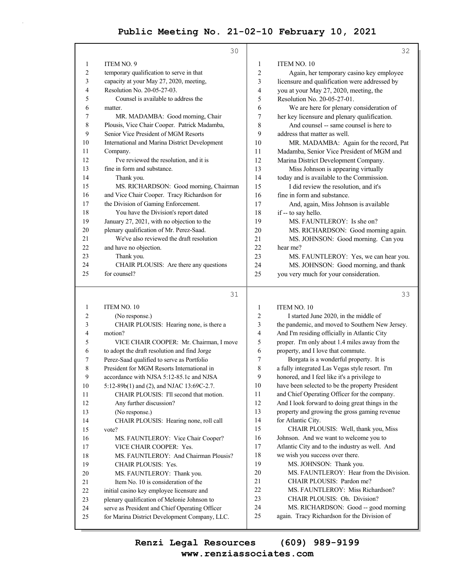|                         | 30                                                                                            |              | 32                                                                                              |
|-------------------------|-----------------------------------------------------------------------------------------------|--------------|-------------------------------------------------------------------------------------------------|
| 1                       | ITEM NO. 9                                                                                    | 1            | ITEM NO. 10                                                                                     |
| $\overline{\mathbf{c}}$ | temporary qualification to serve in that                                                      | 2            | Again, her temporary casino key employee                                                        |
| 3                       | capacity at your May 27, 2020, meeting,                                                       | 3            | licensure and qualification were addressed by                                                   |
| 4                       | Resolution No. 20-05-27-03.                                                                   | 4            | you at your May 27, 2020, meeting, the                                                          |
| 5                       | Counsel is available to address the                                                           | 5            | Resolution No. 20-05-27-01.                                                                     |
| 6                       | matter.                                                                                       | 6            | We are here for plenary consideration of                                                        |
| 7                       | MR. MADAMBA: Good morning, Chair                                                              | 7            | her key licensure and plenary qualification.                                                    |
| 8                       | Plousis, Vice Chair Cooper. Patrick Madamba,                                                  | 8            | And counsel -- same counsel is here to                                                          |
| 9                       | Senior Vice President of MGM Resorts                                                          | 9            | address that matter as well.                                                                    |
| 10                      | International and Marina District Development                                                 | 10           | MR. MADAMBA: Again for the record, Pat                                                          |
| 11                      | Company.                                                                                      | 11           | Madamba, Senior Vice President of MGM and                                                       |
| 12                      | I've reviewed the resolution, and it is                                                       | 12           | Marina District Development Company.                                                            |
| 13                      | fine in form and substance.                                                                   | 13           | Miss Johnson is appearing virtually                                                             |
| 14                      | Thank you.                                                                                    | 14           | today and is available to the Commission.                                                       |
| 15                      | MS. RICHARDSON: Good morning, Chairman                                                        | 15           | I did review the resolution, and it's                                                           |
| 16                      | and Vice Chair Cooper. Tracy Richardson for                                                   | 16           | fine in form and substance.                                                                     |
| 17                      | the Division of Gaming Enforcement.                                                           | 17           | And, again, Miss Johnson is available                                                           |
| 18                      | You have the Division's report dated                                                          | 18           | if -- to say hello.                                                                             |
| 19                      | January 27, 2021, with no objection to the                                                    | 19           | MS. FAUNTLEROY: Is she on?                                                                      |
| 20                      | plenary qualification of Mr. Perez-Saad.                                                      | 20           | MS. RICHARDSON: Good morning again.                                                             |
| 21                      | We've also reviewed the draft resolution                                                      | 21           | MS. JOHNSON: Good morning. Can you                                                              |
| 22                      | and have no objection.                                                                        | 22           | hear me?                                                                                        |
| 23                      | Thank you.                                                                                    | 23           | MS. FAUNTLEROY: Yes, we can hear you.                                                           |
| 24                      | CHAIR PLOUSIS: Are there any questions                                                        | 24           | MS. JOHNSON: Good morning, and thank                                                            |
| 25                      | for counsel?                                                                                  | 25           | you very much for your consideration.                                                           |
|                         | 31                                                                                            |              | 33                                                                                              |
|                         |                                                                                               |              |                                                                                                 |
| 1                       | ITEM NO. 10                                                                                   | $\mathbf{1}$ | ITEM NO. 10                                                                                     |
| 2                       | (No response.)                                                                                | 2            | I started June 2020, in the middle of                                                           |
| 3                       | CHAIR PLOUSIS: Hearing none, is there a                                                       | 3            | the pandemic, and moved to Southern New Jersey.                                                 |
| 4                       | motion?<br>VICE CHAIR COOPER: Mr. Chairman, I move                                            | 4            | And I'm residing officially in Atlantic City                                                    |
| 5                       |                                                                                               | 5            | proper. I'm only about 1.4 miles away from the                                                  |
| 6                       | to adopt the draft resolution and find Jorge                                                  | 6            | property, and I love that commute.                                                              |
| 7                       | Perez-Saad qualified to serve as Portfolio                                                    | 7<br>8       | Borgata is a wonderful property. It is<br>a fully integrated Las Vegas style resort. I'm        |
| 8                       | President for MGM Resorts International in                                                    |              |                                                                                                 |
| 9                       | accordance with NJSA 5:12-85.1c and NJSA                                                      | 9<br>10      | honored, and I feel like it's a privilege to                                                    |
| 10                      | 5:12-89b(1) and (2), and NJAC 13:69C-2.7.                                                     |              | have been selected to be the property President<br>and Chief Operating Officer for the company. |
| 11                      | CHAIR PLOUSIS: I'll second that motion.                                                       | 11           | And I look forward to doing great things in the                                                 |
| 12                      | Any further discussion?                                                                       | 12<br>13     |                                                                                                 |
| 13                      | (No response.)                                                                                |              | property and growing the gross gaming revenue                                                   |
| 14                      | CHAIR PLOUSIS: Hearing none, roll call                                                        | 14           | for Atlantic City.                                                                              |
| 15                      | vote?                                                                                         | 15           | CHAIR PLOUSIS: Well, thank you, Miss                                                            |
| 16                      | MS. FAUNTLEROY: Vice Chair Cooper?                                                            | 16<br>17     | Johnson. And we want to welcome you to<br>Atlantic City and to the industry as well. And        |
| 17                      | VICE CHAIR COOPER: Yes.                                                                       |              |                                                                                                 |
| 18                      | MS. FAUNTLEROY: And Chairman Plousis?                                                         | 18<br>19     | we wish you success over there.<br>MS. JOHNSON: Thank you.                                      |
| 19                      | CHAIR PLOUSIS: Yes.                                                                           | $20\,$       | MS. FAUNTLEROY: Hear from the Division.                                                         |
| 20                      | MS. FAUNTLEROY: Thank you.                                                                    | 21           | CHAIR PLOUSIS: Pardon me?                                                                       |
| 21                      | Item No. 10 is consideration of the                                                           | 22           | MS. FAUNTLEROY: Miss Richardson?                                                                |
| 22                      | initial casino key employee licensure and                                                     | 23           | CHAIR PLOUSIS: Oh. Division?                                                                    |
| 23                      | plenary qualification of Melonie Johnson to<br>serve as President and Chief Operating Officer | 24           | MS. RICHARDSON: Good -- good morning                                                            |
| 24                      |                                                                                               |              |                                                                                                 |

25 again. Tracy Richardson for the Division of

**www.renziassociates.com Renzi Legal Resources (609) 989-9199**

25 for Marina District Development Company, LLC.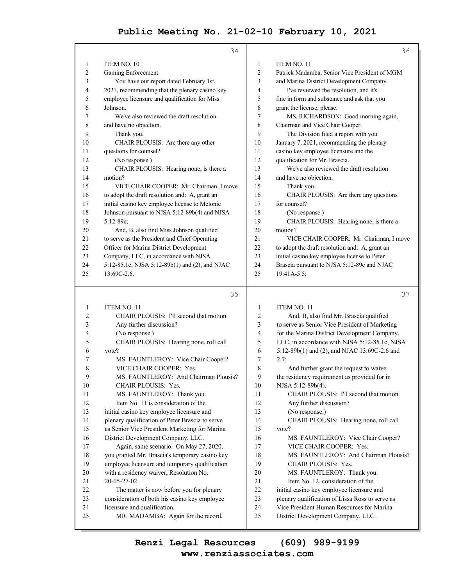|                | 34                                             |                | 36                                             |
|----------------|------------------------------------------------|----------------|------------------------------------------------|
| 1              | ITEM NO. 10                                    | $\mathbf{1}$   | ITEM NO. 11                                    |
| $\overline{c}$ | Gaming Enforcement.                            | $\overline{2}$ | Patrick Madamba, Senior Vice President of MGM  |
| 3              | You have our report dated February 1st,        | 3              | and Marina District Development Company.       |
| 4              | 2021, recommending that the plenary casino key | 4              | I've reviewed the resolution, and it's         |
| 5              | employee licensure and qualification for Miss  | 5              | fine in form and substance and ask that you    |
| 6              | Johnson.                                       | 6              | grant the license, please.                     |
| 7              | We've also reviewed the draft resolution       | $\tau$         | MS. RICHARDSON: Good morning again,            |
| 8              | and have no objection.                         | 8              | Chairman and Vice Chair Cooper.                |
| 9              | Thank you.                                     | 9              | The Division filed a report with you           |
| 10             | CHAIR PLOUSIS: Are there any other             | 10             | January 7, 2021, recommending the plenary      |
| 11             | questions for counsel?                         | 11             | casino key employee licensure and the          |
| 12             | (No response.)                                 | 12             | qualification for Mr. Brascia.                 |
| 13             | CHAIR PLOUSIS: Hearing none, is there a        | 13             | We've also reviewed the draft resolution       |
| 14             | motion?                                        | 14             | and have no objection.                         |
| 15             | VICE CHAIR COOPER: Mr. Chairman, I move        | 15             | Thank you.                                     |
| 16             | to adopt the draft resolution and: A, grant an | 16             | CHAIR PLOUSIS: Are there any questions         |
| 17             | initial casino key employee license to Melonie | 17             | for counsel?                                   |
| 18             | Johnson pursuant to NJSA 5:12-89b(4) and NJSA  | 18             | (No response.)                                 |
| 19             | 5:12-89e;                                      | 19             | CHAIR PLOUSIS: Hearing none, is there a        |
| 20             | And, B, also find Miss Johnson qualified       | 20             | motion?                                        |
| 21             | to serve as the President and Chief Operating  | 21             | VICE CHAIR COOPER: Mr. Chairman, I move        |
| 22             | Officer for Marina District Development        | 22             | to adopt the draft resolution and: A, grant an |
| 23             | Company, LLC, in accordance with NJSA          | 23             | initial casino key employee license to Peter   |
| 24             | 5:12-85.1c, NJSA 5:12-89b(1) and (2), and NJAC | 24             | Brascia pursuant to NJSA 5:12-89e and NJAC     |
| 25             | $13:69C-2.6$ .                                 | 25             | 19:41A-5.5;                                    |
|                | 35                                             |                | 37                                             |
| $\mathbf{1}$   | ITEM NO. 11                                    | $\mathbf{1}$   | ITEM NO. 11                                    |
| $\overline{c}$ | CHAIR PLOUSIS: I'll second that motion.        | $\overline{2}$ | And, B, also find Mr. Brascia qualified        |
| 3              | Any further discussion?                        | 3              | to serve as Senior Vice President of Marketing |
| 4              | (No response.)                                 | $\overline{4}$ | for the Marina District Development Company,   |
| 5              | CHAIR PLOUSIS: Hearing none, roll call         | 5              | LLC, in accordance with NJSA 5:12-85.1c, NJSA  |
| 6              | vote?                                          | 6              | 5:12-89b(1) and (2), and NJAC 13:69C-2.6 and   |
| 7              | MS. FAUNTLEROY: Vice Chair Cooper?             | 7              | 2.7;                                           |
| 8              | VICE CHAIR COOPER: Yes.                        | 8              | And further grant the request to waive         |
| 9              | MS. FAUNTLEROY: And Chairman Plousis?          | 9              | the residency requirement as provided for in   |
| 10             | <b>CHAIR PLOUSIS: Yes.</b>                     | 10             | NJSA 5:12-89b(4).                              |
| 11             | MS. FAUNTLEROY: Thank you.                     | 11             | CHAIR PLOUSIS: I'll second that motion.        |
| 12             | Item No. 11 is consideration of the            | 12             | Any further discussion?                        |

12 Item No. 11 is consideration of the 13 initial casino key employee licensure and 14 plenary qualification of Peter Brascia to serve 15 as Senior Vice President Marketing for Marina 16 District Development Company, LLC. 17 Again, same scenario. On May 27, 2020, 18 you granted Mr. Brascia's temporary casino key 19 employee licensure and temporary qualification 20 with a residency waiver, Resolution No. 21 20-05-27-02. 22 The matter is now before you for plenary 23 consideration of both his casino key employee 24 licensure and qualification. 25 MR. MADAMBA: Again for the record,

#### 13 (No response.) 14 CHAIR PLOUSIS: Hearing none, roll call 15 vote?

16 MS. FAUNTLEROY: Vice Chair Cooper? 17 VICE CHAIR COOPER: Yes.

- 18 MS. FAUNTLEROY: And Chairman Plousis?
- 19 CHAIR PLOUSIS: Yes.
- 20 MS. FAUNTLEROY: Thank you.
- 21 Item No. 12, consideration of the
- 22 initial casino key employee licensure and
- 23 plenary qualification of Lissa Ross to serve as
- 24 Vice President Human Resources for Marina
- 25 District Development Company, LLC.

**www.renziassociates.com Renzi Legal Resources (609) 989-9199**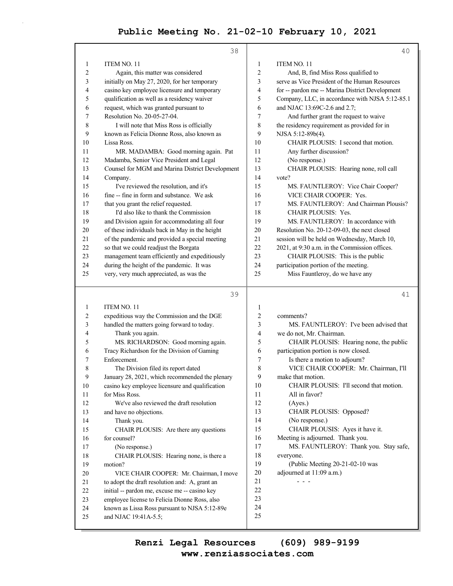|          | 38                                                                    |                  | 40                                              |
|----------|-----------------------------------------------------------------------|------------------|-------------------------------------------------|
| 1        | ITEM NO. 11                                                           | 1                | ITEM NO. 11                                     |
| 2        | Again, this matter was considered                                     | $\overline{2}$   | And, B, find Miss Ross qualified to             |
| 3        | initially on May 27, 2020, for her temporary                          | 3                | serve as Vice President of the Human Resources  |
| 4        | casino key employee licensure and temporary                           | 4                | for -- pardon me -- Marina District Development |
| 5        | qualification as well as a residency waiver                           | 5                | Company, LLC, in accordance with NJSA 5:12-85.1 |
| 6        | request, which was granted pursuant to                                | 6                | and NJAC 13:69C-2.6 and 2.7;                    |
| 7        | Resolution No. 20-05-27-04.                                           | 7                | And further grant the request to waive          |
| 8        | I will note that Miss Ross is officially                              | 8                | the residency requirement as provided for in    |
| 9        | known as Felicia Dionne Ross, also known as                           | 9                | NJSA 5:12-89b(4).                               |
| 10       | Lissa Ross.                                                           | 10               | CHAIR PLOUSIS: I second that motion.            |
| 11       | MR. MADAMBA: Good morning again. Pat                                  | 11               | Any further discussion?                         |
| 12       | Madamba, Senior Vice President and Legal                              | 12               | (No response.)                                  |
| 13       | Counsel for MGM and Marina District Development                       | 13               | CHAIR PLOUSIS: Hearing none, roll call          |
| 14       | Company.                                                              | 14               | vote?                                           |
| 15       | I've reviewed the resolution, and it's                                | 15               | MS. FAUNTLEROY: Vice Chair Cooper?              |
| 16       | fine -- fine in form and substance. We ask                            | 16               | VICE CHAIR COOPER: Yes.                         |
| 17       | that you grant the relief requested.                                  | 17               | MS. FAUNTLEROY: And Chairman Plousis?           |
| 18       | I'd also like to thank the Commission                                 | 18               | CHAIR PLOUSIS: Yes.                             |
| 19       | and Division again for accommodating all four                         | 19               | MS. FAUNTLEROY: In accordance with              |
| 20       | of these individuals back in May in the height                        | 20               | Resolution No. 20-12-09-03, the next closed     |
| 21       | of the pandemic and provided a special meeting                        | 21               | session will be held on Wednesday, March 10,    |
| 22       | so that we could readjust the Borgata                                 | 22               | 2021, at 9:30 a.m. in the Commission offices.   |
| 23       | management team efficiently and expeditiously                         | 23               | CHAIR PLOUSIS: This is the public               |
| 24       | during the height of the pandemic. It was                             | 24               | participation portion of the meeting.           |
| 25       | very, very much appreciated, as was the                               | 25               | Miss Fauntleroy, do we have any                 |
|          |                                                                       |                  |                                                 |
|          |                                                                       |                  |                                                 |
|          | 39                                                                    |                  | 41                                              |
| 1        | ITEM NO. 11                                                           | $\mathbf{1}$     |                                                 |
| 2        | expeditious way the Commission and the DGE                            | $\overline{c}$   | comments?                                       |
| 3        | handled the matters going forward to today.                           | 3                | MS. FAUNTLEROY: I've been advised that          |
| 4        | Thank you again.                                                      | 4                | we do not, Mr. Chairman.                        |
| 5        | MS. RICHARDSON: Good morning again.                                   | 5                | CHAIR PLOUSIS: Hearing none, the public         |
| 6        | Tracy Richardson for the Division of Gaming                           | 6                | participation portion is now closed.            |
| 7        | Enforcement.                                                          | $\boldsymbol{7}$ | Is there a motion to adjourn?                   |
| 8        | The Division filed its report dated                                   | 8                | VICE CHAIR COOPER: Mr. Chairman, I'll           |
| 9        | January 28, 2021, which recommended the plenary                       | 9                | make that motion.                               |
| 10       | casino key employee licensure and qualification                       | 10               | CHAIR PLOUSIS: I'll second that motion.         |
| 11       | for Miss Ross.                                                        | 11               | All in favor?                                   |
| 12       | We've also reviewed the draft resolution                              | 12               | (Ayes.)                                         |
| 13       | and have no objections.                                               | 13               | CHAIR PLOUSIS: Opposed?                         |
| 14       | Thank you.                                                            | 14               | (No response.)                                  |
| 15       | CHAIR PLOUSIS: Are there any questions                                | 15               | CHAIR PLOUSIS: Ayes it have it.                 |
| 16       | for counsel?                                                          | 16               | Meeting is adjourned. Thank you.                |
| 17       | (No response.)                                                        | 17               | MS. FAUNTLEROY: Thank you. Stay safe,           |
| 18       | CHAIR PLOUSIS: Hearing none, is there a                               | 18               | everyone.                                       |
| 19       | motion?                                                               | 19               | (Public Meeting 20-21-02-10 was                 |
| 20       | VICE CHAIR COOPER: Mr. Chairman, I move                               | $20\,$           | adjourned at 11:09 a.m.)<br>- - -               |
| 21       | to adopt the draft resolution and: A, grant an                        | 21<br>22         |                                                 |
| 22<br>23 | initial -- pardon me, excuse me -- casino key                         | 23               |                                                 |
|          | employee license to Felicia Dionne Ross, also                         | 24               |                                                 |
| 24<br>25 | known as Lissa Ross pursuant to NJSA 5:12-89e<br>and NJAC 19:41A-5.5; | 25               |                                                 |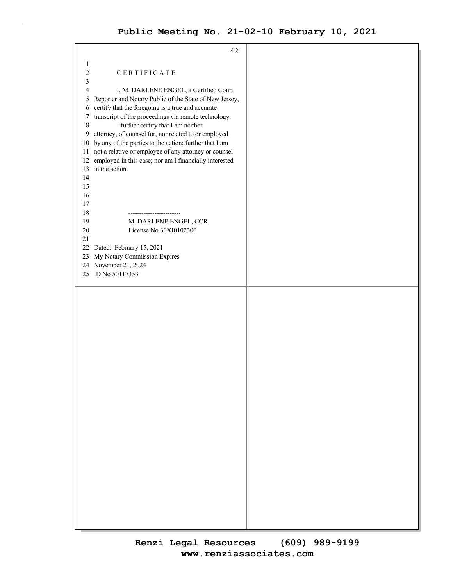| 42                                                           |  |
|--------------------------------------------------------------|--|
| 1                                                            |  |
|                                                              |  |
| 2<br>CERTIFICATE                                             |  |
| 3                                                            |  |
| 4<br>I, M. DARLENE ENGEL, a Certified Court                  |  |
| Reporter and Notary Public of the State of New Jersey,<br>5  |  |
| certify that the foregoing is a true and accurate<br>6       |  |
| transcript of the proceedings via remote technology.<br>7    |  |
| I further certify that I am neither<br>8                     |  |
|                                                              |  |
| attorney, of counsel for, nor related to or employed<br>9    |  |
| by any of the parties to the action; further that I am<br>10 |  |
| not a relative or employee of any attorney or counsel<br>11  |  |
| employed in this case; nor am I financially interested<br>12 |  |
| 13 in the action.                                            |  |
| 14                                                           |  |
| 15                                                           |  |
| 16                                                           |  |
|                                                              |  |
| 17                                                           |  |
| 18                                                           |  |
| 19<br>M. DARLENE ENGEL, CCR                                  |  |
| License No 30XI0102300<br>20                                 |  |
| 21                                                           |  |
| Dated: February 15, 2021<br>22                               |  |
| My Notary Commission Expires<br>23                           |  |
| 24 November 21, 2024                                         |  |
| 25 ID No 50117353                                            |  |
|                                                              |  |
|                                                              |  |
|                                                              |  |
|                                                              |  |
|                                                              |  |
|                                                              |  |
|                                                              |  |
|                                                              |  |
|                                                              |  |
|                                                              |  |
|                                                              |  |
|                                                              |  |
|                                                              |  |
|                                                              |  |
|                                                              |  |
|                                                              |  |
|                                                              |  |
|                                                              |  |
|                                                              |  |
|                                                              |  |
|                                                              |  |
|                                                              |  |
|                                                              |  |
|                                                              |  |
|                                                              |  |
|                                                              |  |
|                                                              |  |
|                                                              |  |
|                                                              |  |
|                                                              |  |
|                                                              |  |
|                                                              |  |
|                                                              |  |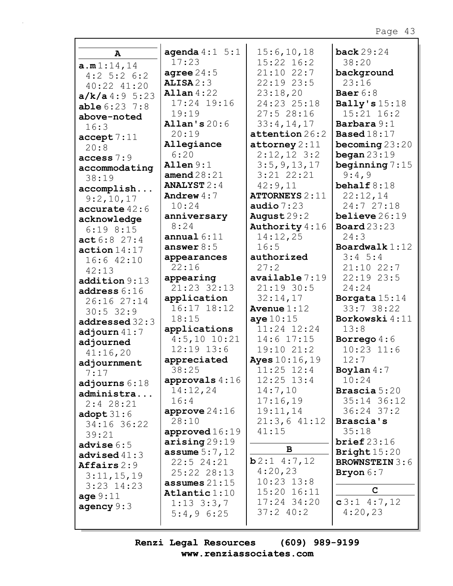|                               | agenda $4:1 \quad 5:1$ | 15:6, 10, 18             | back $29:24$          |
|-------------------------------|------------------------|--------------------------|-----------------------|
| A                             | 17:23                  | $15:22$ $16:2$           | 38:20                 |
| a.m1:14,14                    | agree $24:5$           | $21:10$ 22:7             | background            |
| $4:2$ 5:2 6:2                 | ALISA2:3               | 22:19 23:5               | 23:16                 |
| 40:22 41:20                   | Allan $4:22$           | 23:18,20                 | Baer $6:8$            |
| a/k/a4:95:23                  | 17:24 19:16            | 24:23 25:18              | Bally's $15:18$       |
| $able 6:23$ 7:8               | 19:19                  | 27:528:16                | 15:21 16:2            |
| above-noted                   | Allan's $20:6$         | 33:4,14,17               | Barbara 9:1           |
| 16:3                          | 20:19                  | attention 26:2           | <b>Based</b> $18:17$  |
| accept 7:11                   | Allegiance             | $\texttt{attorney} 2:11$ | becoming $23:20$      |
| 20:8                          | 6:20                   | $2:12,12$ 3:2            | began $23:19$         |
| access $7:9$                  | Allen $9:1$            | 3:5, 9, 13, 17           | beginning $7:15$      |
| accommodating                 | amend $28:21$          | $3:21$ $22:21$           | 9:4,9                 |
| 38:19                         | <b>ANALYST</b> $2:4$   | 42:9,11                  | behalf $8:18$         |
| accomplish                    | Andrew $4:7$           | <b>ATTORNEYS</b> 2:11    | 22:12,14              |
| 9:2,10,17                     | 10:24                  | audio $7:23$             | 24:7 27:18            |
| $accurate$ 42:6               | anniversary            | August $29:2$            | believe $26:19$       |
| acknowledge                   | 8:24                   | Authority 4:16           | <b>Board</b> 23:23    |
| $6:19$ $8:15$                 | annual $6:11$          | 14:12,25                 | 24:3                  |
| act6:827:4                    | answer $8:5$           | 16:5                     | Boardwalk $1:12$      |
| action 14:17                  | appearances            | authorized               | $3:4$ 5:4             |
| $16:6$ $42:10$                | 22:16                  | 27:2                     | $21:10$ 22:7          |
| 42:13                         | appearing              | available 7:19           | 22:19 23:5            |
| addition 9:13                 | 21:23 32:13            | $21:19$ 30:5             | 24:24                 |
| address 6:16                  | application            | 32:14,17                 | Borgata 15:14         |
| 26:16 27:14                   | 16:17 18:12            | Avenue $1:12$            | 33:738:22             |
| $30:5$ 32:9                   | 18:15                  | aye $10:15$              | Borkowski 4:11        |
| addressed 32:3                | applications           | 11:24 12:24              | 13:8                  |
| adjourn $41:7$                | $4:5,10$ 10:21         | $14:6$ 17:15             | Borrego $4:6$         |
| adjourned                     | 12:19 13:6             | 19:10 21:2               | $10:23$ $11:6$        |
| 41:16,20                      | appreciated            | Ayes 10:16, 19           | 12:7                  |
| adjournment<br>7:17           | 38:25                  | $11:25$ $12:4$           | Boylan $4:7$          |
|                               | approvals $4:16$       | $12:25$ $13:4$           | 10:24                 |
| adjourns $6:18$<br>administra | 14:12,24               | 14:7,10                  | <b>Brascia</b> 5:20   |
| $2:4$ 28:21                   | 16:4                   | 17:16,19                 | 35:14 36:12           |
|                               | approve $24:16$        | 19:11,14                 | $36:24$ 37:2          |
| adopt $31:6$<br>34:16 36:22   | 28:10                  | $21:3,6$ 41:12           | Brascia's             |
| 39:21                         | approved $16:19$       | 41:15                    | 35:18                 |
| advise $6:5$                  | $\arishing 29:19$      |                          | brief 23:16           |
| advised $41:3$                | <b>assume</b> $5:7,12$ | B                        | Bright $15:20$        |
| Affairs $2:9$                 | $22:5$ 24:21           | b2:14:7,12               | <b>BROWNSTEIN 3:6</b> |
| 3:11,15,19                    | 25:22 28:13            | 4:20,23                  | Bryon 6:7             |
| $3:23$ 14:23                  | assumes $21:15$        | $10:23$ $13:8$           |                       |
| age $9:11$                    | Atlantic $1:10$        | 15:20 16:11              | $\mathbf C$           |
| agency $9:3$                  | $1:13$ $3:3,7$         | 17:24 34:20              | $c3:1$ 4:7,12         |
|                               | $5:4,9$ 6:25           | $37:2$ 40:2              | 4:20,23               |
|                               |                        |                          |                       |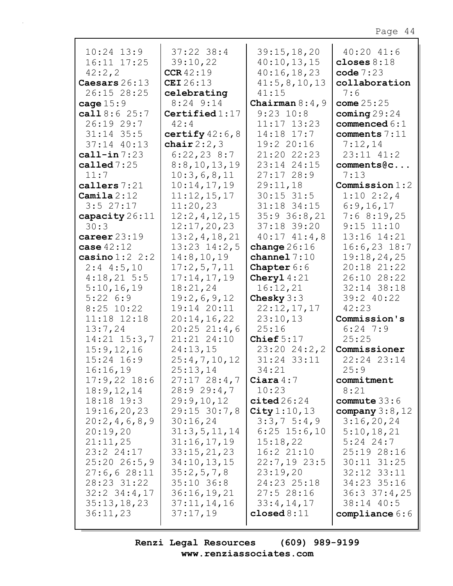| $10:24$ $13:9$<br>16:11 17:25 | $37:22$ 38:4<br>39:10,22 | 39:15,18,20                | $40:20$ $41:6$<br>closes $8:18$ |
|-------------------------------|--------------------------|----------------------------|---------------------------------|
| 42:2,2                        | CCR42:19                 | 40:10,13,15<br>40:16,18,23 | code $7:23$                     |
| Caesars 26:13                 | <b>CEI</b> 26:13         | 41:5, 8, 10, 13            | collaboration                   |
| 26:15 28:25                   | celebrating              | 41:15                      | 7:6                             |
| cage $15:9$                   | $8:24$ 9:14              | Chairman $8:4$ , 9         | come $25:25$                    |
| call $8:6$ 25:7               | Certified $1:17$         | $9:23$ $10:8$              | coming $29:24$                  |
| 26:19 29:7                    | 42:4                     | $11:17$ $13:23$            | commenced $6:1$                 |
| $31:14$ 35:5                  | certify $42:6$ , 8       | 14:18 17:7                 | comments 7:11                   |
| 37:14 40:13                   | chair $2:2,3$            | 19:2 20:16                 | 7:12,14                         |
| call-in $7:23$                | 6:22,238:7               | 21:20 22:23                | 23:11 41:2                      |
| called $7:25$                 | 8:8,10,13,19             | 23:14 24:15                | comments@c                      |
| 11:7                          | 10:3,6,8,11              | 27:1728:9                  | 7:13                            |
| callers 7:21                  | 10:14,17,19              | 29:11,18                   | Commission 1:2                  |
| Camila $2:12$                 | 11:12,15,17              | $30:15$ 31:5               | $1:10$ 2:2,4                    |
| $3:5$ 27:17                   | 11:20,23                 | 31:18 34:15                | 6:9,16,17                       |
| capacity 26:11                | 12:2,4,12,15             | $35:9$ 36:8,21             | 7:68:19,25                      |
| 30:3                          | 12:17,20,23              | 37:18 39:20                | $9:15$ $11:10$                  |
| career $23:19$                | 13:2,4,18,21             | $40:17$ $41:4$ , 8         | 13:16 14:21                     |
| case $42:12$                  | $13:23$ $14:2,5$         | change $26:16$             | $16:6,23$ 18:7                  |
| casino $1:2$ 2:2              | 14:8, 10, 19             | channel $7:10$             | 19:18,24,25                     |
| $2:4$ 4:5,10                  | 17:2,5,7,11              | <b>Chapter</b> $6:6$       | 20:18 21:22                     |
| 4:18,215:5                    | 17:14,17,19              | Cheryl $4:21$              | 26:10 28:22                     |
| 5:10,16,19                    | 18:21,24                 | 16:12,21                   | 32:14 38:18                     |
| 5:226:9                       | 19:2,6,9,12              | Chesky $3:3$               | 39:2 40:22                      |
| $8:25$ 10:22                  | 19:14 20:11              | 22:12,17,17                | 42:23                           |
| 11:18 12:18                   | 20:14,16,22              | 23:10,13                   | Commission's                    |
| 13:7,24                       | $20:25$ $21:4,6$         | 25:16                      | $6:24$ 7:9                      |
| $14:21$ $15:3,7$              | 21:21 24:10              | Chief $5:17$               | 25:25                           |
| 15:9, 12, 16                  | 24:13,15                 | 23:2024:2,2                | Commissioner                    |
| $15:24$ $16:9$                | 25:4,7,10,12             | 31:24 33:11                | 22:24 23:14                     |
| 16:16,19                      | 25:13,14                 | 34:21                      | 25:9                            |
| $17:9,22$ 18:6                | $27:17$ $28:4,7$         | Ciara $4:7$                | commitment                      |
| 18:9, 12, 14                  | 28:929:4,7               | 10:23                      | 8:21                            |
| $18:18$ $19:3$                | 29:9,10,12               | cited26:24                 | commute $33:6$                  |
| 19:16,20,23                   | 29:15 30:7,8             | City $1:10,13$             | company $3:8$ , 12              |
| 20:2,4,6,8,9                  | 30:16,24                 | 3:3,7,5:4,9                | 3:16,20,24                      |
| 20:19,20                      | 31:3,5,11,14             | $6:25$ 15:6,10             | 5:10,18,21                      |
| 21:11,25                      | 31:16,17,19              | 15:18,22                   | $5:24$ 24:7                     |
| 23:2 24:17                    | 33:15,21,23              | 16:221:10                  | 25:19 28:16                     |
| $25:20$ 26:5,9                | 34:10, 13, 15            | $22:7,19$ 23:5             | $30:11$ $31:25$                 |
| 27:6,628:11                   | 35:2,5,7,8               | 23:19,20                   | 32:12 33:11                     |
| 28:23 31:22                   | $35:10$ 36:8             | 24:23 25:18                | 34:23 35:16                     |
| $32:2$ $34:4,17$              | 36:16,19,21              | 27:528:16                  | 36:337:4,25                     |
| 35:13,18,23                   | 37:11,14,16              | 33:4,14,17                 | 38:14 40:5                      |
| 36:11,23                      | 37:17,19                 | closed $8:11$              | compliance $6:6$                |
|                               |                          |                            |                                 |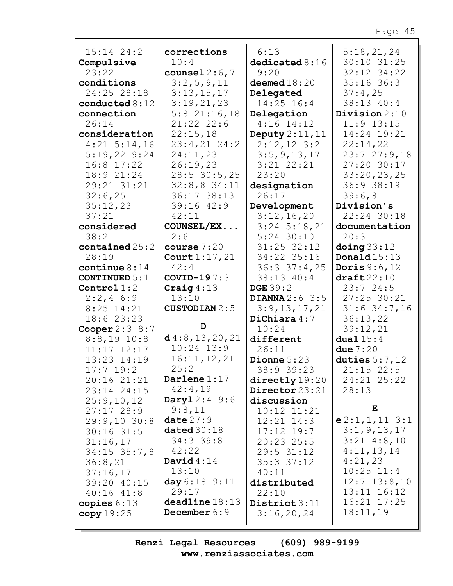| $15:14$ $24:2$                   | corrections             | 6:13               | 5:18,21,24              |
|----------------------------------|-------------------------|--------------------|-------------------------|
| Compulsive                       | 10:4                    | dedicated 8:16     | 30:10 31:25             |
| 23:22                            | counsel $2:6,7$         | 9:20               | 32:12 34:22             |
| conditions                       | 3:2,5,9,11              | deemed $18:20$     | $35:16$ 36:3            |
| 24:25 28:18                      | 3:13,15,17              | Delegated          | 37:4,25                 |
| conducted $8:12$                 | 3:19,21,23              | 14:25 16:4         | 38:13 40:4              |
| connection                       | $5:8$ 21:16,18          | Delegation         | Division $2:10$         |
| 26:14                            | 21:22 22:6              | $4:16$ 14:12       | $11:9$ $13:15$          |
| consideration                    | 22:15,18                | Deputy $2:11,11$   | 14:24 19:21             |
| $4:21$ 5:14,16                   | $23:4,21$ $24:2$        | $2:12,12$ 3:2      | 22:14,22                |
| $5:19,22$ 9:24                   | 24:11,23                | 3:5, 9, 13, 17     | 23:727:9,18             |
| $16:8$ 17:22                     | 26:19,23                | $3:21$ $22:21$     | 27:20 30:17             |
| 18:9 21:24                       | 28:5 30:5,25            | 23:20              | 33:20,23,25             |
| 29:21 31:21                      | $32:8,8$ 34:11          | designation        | 36:9 38:19              |
| 32:6,25                          | 36:17 38:13             | 26:17              | 39:6,8                  |
| 35:12,23                         | $39:16$ $42:9$          | Development        | Division's              |
| 37:21                            | 42:11                   | 3:12,16,20         | 22:24 30:18             |
| considered                       | COUNSEL/EX              | $3:24$ 5:18,21     | documentation           |
| 38:2                             | 2:6                     | $5:24$ 30:10       | 20:3                    |
| $\texttt{contained} \, 25:2$     | course $7:20$           | 31:25 32:12        | $\Delta$ oing 33:12     |
| 28:19                            | Court $1:17,21$         | 34:22 35:16        | Donald $15:13$          |
| continue $8:14$                  | 42:4                    | 36:337:4,25        | Doris $9:6,12$          |
| CONTINUED $5:1$                  | COVID-19 $7:3$          | 38:13 40:4         | $\texttt{draff}22:10$   |
| Control $1:2$                    | Craig $4:13$            | <b>DGE</b> 39:2    | 23:724:5                |
| $2:2,4$ 6:9                      | 13:10                   | DIANNA $2:6$ 3:5   | 27:25 30:21             |
| $8:25$ 14:21                     | <b>CUSTODIAN 2:5</b>    | 3:9,13,17,21       | $31:6$ 34:7,16          |
| 18:6 23:23                       | D                       | DiChiara $4:7$     | 36:13,22                |
| Cooper $2:3$ 8:7                 | d4:8, 13, 20, 21        | 10:24              | 39:12,21<br>dual $15:4$ |
| $8:8,19$ 10:8<br>$11:17$ $12:17$ | $10:24$ $13:9$          | different<br>26:11 | due $7:20$              |
| 13:23 14:19                      | 16:11, 12, 21           | Dionne $5:23$      | duties $5:7$ , 12       |
| $17:7$ 19:2                      | 25:2                    | 38:9 39:23         | $21:15$ 22:5            |
| 20:16 21:21                      | Darlene $1:17$          | directly 19:20     | 24:21 25:22             |
| 23:14 24:15                      | 42:4,19                 | Director 23:21     | 28:13                   |
| 25:9,10,12                       | $\textbf{Dayl} 2:4 9:6$ | discussion         |                         |
| 27:1728:9                        | 9:8,11                  | $10:12$ $11:21$    | E                       |
| 29:9,1030:8                      | date $27:9$             | $12:21$ $14:3$     | e2:1,1,113:1            |
| $30:16$ 31:5                     | dated $30:18$           | $17:12$ $19:7$     | 3:1, 9, 13, 17          |
| 31:16,17                         | $34:3$ 39:8             | $20:23$ 25:5       | $3:21$ 4:8,10           |
| $34:15$ $35:7,8$                 | 42:22                   | $29:5$ 31:12       | 4:11,13,14              |
| 36:8,21                          | David $4:14$            | $35:3$ $37:12$     | 4:21,23                 |
| 37:16,17                         | 13:10                   | 40:11              | $10:25$ $11:4$          |
| 39:20 40:15                      | day 6:18 9:11           | distributed        | $12:7$ $13:8,10$        |
| $40:16$ $41:8$                   | 29:17                   | 22:10              | $13:11$ $16:12$         |
| copies $6:13$                    | deadline 18:13          | District 3:11      | 16:21 17:25             |
| copy 19:25                       | December $6:9$          | 3:16,20,24         | 18:11,19                |
|                                  |                         |                    |                         |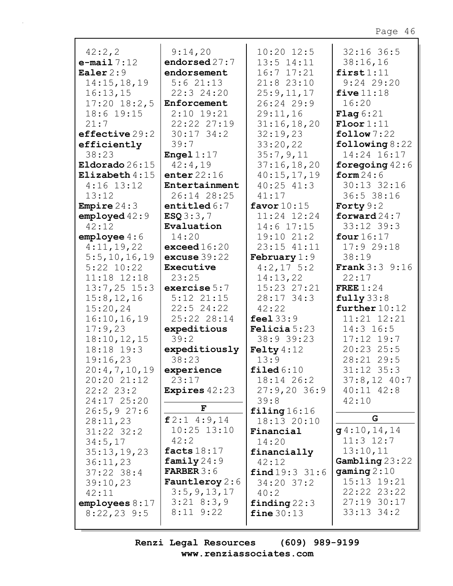|                             | 9:14,20                  | $10:20$ $12:5$          | $32:16$ 36:5           |
|-----------------------------|--------------------------|-------------------------|------------------------|
| 42:2, 2<br>$e$ -mail $7:12$ | endorsed 27:7            | $13:5$ $14:11$          | 38:16,16               |
| Ealer $2:9$                 | endorsement              | $16:7$ $17:21$          | first1:11              |
| 14:15, 18, 19               | 5:621:13                 | $21:8$ 23:10            | $9:24$ 29:20           |
| 16:13,15                    | 22:3 24:20               | 25:9,11,17              | five $11:18$           |
|                             |                          | 26:24 29:9              |                        |
| $17:20$ $18:2,5$            | Enforcement              |                         | 16:20                  |
| 18:6 19:15                  | $2:10$ 19:21             | 29:11,16                | Flag 6:21              |
| 21:7                        | 22:22 27:19              | 31:16,18,20             | $\text{Floor}1:11$     |
| effective 29:2              | $30:17$ 34:2             | 32:19,23                | $\texttt{follow} 7:22$ |
| efficiently                 | 39:7                     | 33:20,22                | following $8:22$       |
| 38:23                       | <b>Engel</b> $1:17$      | 35:7,9,11               | 14:24 16:17            |
| Eldorado $26:15$            | 42:4,19<br>enter $22:16$ | 37:16,18,20             | foregoing $42:6$       |
| Elizabeth $4:15$            |                          | 40:15,17,19             | form $24:6$            |
| $4:16$ 13:12                | Entertainment            | $40:25$ $41:3$          | $30:13$ $32:16$        |
| 13:12                       | 26:14 28:25              | 41:17                   | 36:5 38:16             |
| <b>Empire</b> $24:3$        | entitled $6:7$           | favor $10:15$           | Forty $9:2$            |
| employd 42:9                | ESQ3:3,7                 | 11:24 12:24             | forward $24:7$         |
| 42:12                       | Evaluation               | $14:6$ $17:15$          | 33:12 39:3             |
| $empty$ employee $4:6$      | 14:20                    | 19:1021:2               | four $16:17$           |
| 4:11,19,22                  | exceed $16:20$           | 23:15 41:11             | 17:929:18              |
| 5:5, 10, 16, 19             | excuse $39:22$           | February $1:9$          | 38:19                  |
| $5:22$ $10:22$              | Executive                | $4:2,17$ 5:2            | <b>Frank</b> 3:3 9:16  |
| 11:18 12:18                 | 23:25                    | 14:13,22                | 22:17                  |
| $13:7,25$ 15:3              | exercise $5:7$           | 15:23 27:21             | FREE $1:24$            |
| 15:8, 12, 16                | $5:12$ $21:15$           | $28:17$ 34:3            | fully 33:8             |
| 15:20,24                    | $22:5$ 24:22             | 42:22                   | further $10:12$        |
| 16:10, 16, 19               | 25:22 28:14              | feel $33:9$             | 11:21 12:21            |
| 17:9,23                     | expeditious              | Felicia 5:23            | 14:3 16:5              |
| 18:10, 12, 15               | 39:2                     | 38:9 39:23              | $17:12$ 19:7           |
| 18:18 19:3                  | expeditiously            | Felty $4:12$            | 20:23 25:5             |
| 19:16,23                    | 38:23                    | 13:9                    | 28:21 29:5             |
| 20:4,7,10,19                | experience               | $\texttt{filed} 6:10$   | $31:12$ $35:3$         |
| 20:20 21:12                 | 23:17                    | $18:14$ 26:2            | $37:8,12$ 40:7         |
| 22:22:23:2                  | <b>Expires</b> $42:23$   | 27:9,2036:9             | $40:11$ $42:8$         |
| 24:17 25:20                 | F                        | 39:8                    | 42:10                  |
| 26:5, 927:6                 | f2:14:9,14               | $\texttt{filling}16:16$ | G                      |
| 28:11,23                    |                          | 18:13 20:10             |                        |
| $31:22$ $32:2$              | $10:25$ $13:10$          | Financial               | g4:10,14,14            |
| 34:5,17                     | 42:2                     | 14:20                   | $11:3$ $12:7$          |
| 35:13,19,23                 | facts $18:17$            | financially             | 13:10,11               |
| 36:11,23                    | family $24:9$            | 42:12                   | Gambling23:22          |
| $37:22$ 38:4                | <b>FARBER 3:6</b>        | find 19:3 31:6          | gamma2:10              |
| 39:10,23                    | <b>Fauntleroy</b> 2:6    | $34:20$ 37:2            | $15:13$ $19:21$        |
| 42:11                       | 3:5, 9, 13, 17           | 40:2                    | $22:22$ $23:22$        |
| employes 8:17               | $3:21$ 8:3,9             | finding $22:3$          | 27:19 30:17            |
| $8:22,23$ 9:5               | $8:11$ $9:22$            | fine $30:13$            | $33:13$ $34:2$         |
|                             |                          |                         |                        |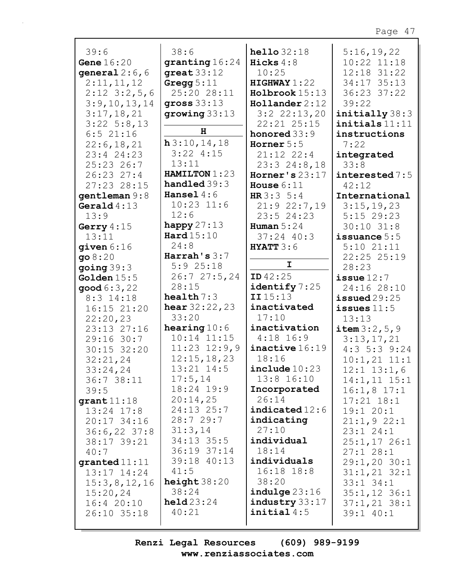| 39:6             | 38:6                        | hello $32:18$             |                   |
|------------------|-----------------------------|---------------------------|-------------------|
|                  |                             |                           | 5:16,19,22        |
| Gene $16:20$     | granting 16:24              | Hicks $4:8$               | $10:22$ $11:18$   |
| general $2:6, 6$ | $great 33:12$               | 10:25                     | 12:18 31:22       |
| 2:11,11,12       | Gregg $5:11$                | HIGHWAY1:22               | 34:17 35:13       |
| $2:12$ $3:2,5,6$ | 25:20 28:11                 | Holbrook 15:13            | 36:23 37:22       |
| 3:9,10,13,14     | gross $33:13$               | $H$ ollander 2:12         | 39:22             |
| 3:17,18,21       | group33:13                  | $3:2$ $22:13,20$          | initially 38:3    |
| $3:22$ 5:8,13    |                             | 22:21 25:15               | initials 11:11    |
| $6:5$ 21:16      | H                           | honored $33:9$            | instructions      |
| 22:6, 18, 21     | h3:10,14,18                 | Horner $5:5$              | 7:22              |
| 23:4 24:23       | $3:22$ 4:15                 | $21:12$ $22:4$            | integrated        |
| 25:23 26:7       | 13:11                       | $23:3$ $24:8,18$          | 33:8              |
| $26:23$ $27:4$   | HAMILTON 1:23               | Horner's $23:17$          | interested 7:5    |
| 27:23 28:15      | handled $39:3$              | House $6:11$              | 42:12             |
| gentleman 9:8    | Hansel $4:6$                | HR $3:3 \ 5:4$            | International     |
| Gerald $4:13$    | $10:23$ $11:6$              | 21:922:7,19               | 3:15,19,23        |
| 13:9             | 12:6                        | 23:524:23                 | $5:15$ 29:23      |
| Gerry $4:15$     | happy $27:13$               | Human $5:24$              | $30:10$ $31:8$    |
| 13:11            | Hard $15:10$                | $37:24$ 40:3              | issuance $5:5$    |
| $q$ iven $6:16$  | 24:8                        | <b>HYATT</b> $3:6$        | $5:10$ $21:11$    |
|                  | Harrah's $3:7$              |                           | 22:25 25:19       |
| 908:20           | $5:9$ 25:18                 | $\mathbf I$               |                   |
| going $39:3$     |                             | <b>ID</b> $42:25$         | 28:23             |
| Golden $15:5$    | 26:727:5,24                 |                           | issue $12:7$      |
| good 6:3,22      | 28:15                       | identify 7:25             | 24:16 28:10       |
| 8:3 14:18        | health $7:3$                | II15:13                   | $i$ ssued $29:25$ |
| 16:15 21:20      | <b>hear</b> $32:22,23$      | inactivated               | issues $11:5$     |
| 22:20,23         | 33:20                       | 17:10                     | 13:13             |
| 23:13 27:16      | hearing $10:6$              | inactivation              | item $3:2, 5, 9$  |
| 29:16 30:7       | $10:14$ $11:15$             | $4:18$ 16:9               | 3:13,17,21        |
| $30:15$ 32:20    | $11:23$ $12:9,9$            | inactive 16:19            | $4:3$ 5:3 9:24    |
| 32:21,24         | 12:15, 18, 23               | 18:16                     | $10:1,21$ $11:1$  |
| 33:24,24         | 13:21 14:5                  | include 10:23             | $12:1$ $13:1$ , 6 |
| 36:738:11        | 17:5,14                     | 13:8 16:10                | $14:1,11$ $15:1$  |
| 39:5             | 18:24 19:9                  | Incorporated              | $16:1,8$ 17:1     |
| grant11:18       | 20:14,25                    | 26:14                     | $17:21$ $18:1$    |
| $13:24$ $17:8$   | $24:13$ $25:7$              | indicated 12:6            | 19:1 20:1         |
| 20:17 34:16      | 28:729:7                    | indicating                | 21:1,922:1        |
|                  |                             |                           |                   |
|                  | 31:3,14                     | 27:10                     |                   |
| $36:6,22$ 37:8   |                             |                           | 23:124:1          |
| 38:17 39:21      | $34:13$ 35:5<br>36:19 37:14 | individual<br>18:14       | $25:1,17$ 26:1    |
| 40:7             |                             |                           | 27:128:1          |
| granted 11:11    | 39:18 40:13                 | individuals               | $29:1, 20$ 30:1   |
| $13:17$ $14:24$  | 41:5                        | $16:18$ $18:8$            | $31:1,21$ $32:1$  |
| 15:3,8,12,16     | height $38:20$              | 38:20                     | $33:1$ $34:1$     |
| 15:20,24         | 38:24                       | $indulge$ $23:16$         | $35:1,12$ 36:1    |
| 16:420:10        | $\text{held}23:24$          | $\texttt{industry} 33:17$ | $37:1,21$ $38:1$  |
| 26:10 35:18      | 40:21                       | initial4:5                | 39:1 40:1         |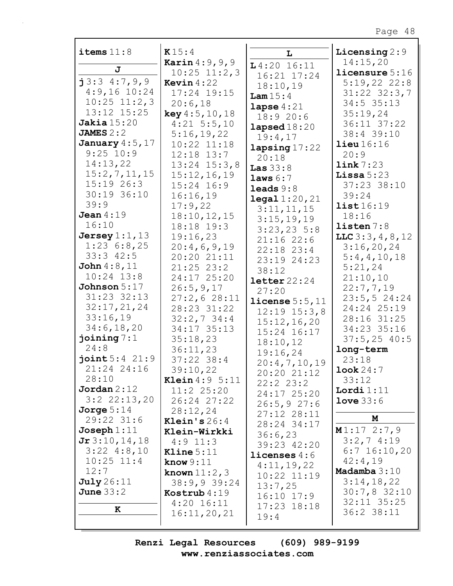| items $11:8$                    | K15:4                          | L                         | Licensing $2:9$                |
|---------------------------------|--------------------------------|---------------------------|--------------------------------|
|                                 | <b>Karin</b> $4:9, 9, 9$       | $L4:20$ 16:11             | 14:15,20                       |
| J                               | $10:25$ $11:2,3$               | 16:21 17:24               | licensure 5:16                 |
| j3:34:7,9,9                     | <b>Kevin</b> $4:22$            | 18:10,19                  | 5:19,222:8                     |
| $4:9,16$ 10:24                  | 17:24 19:15                    | Lam $15:4$                | $31:22$ $32:3,7$               |
| $10:25$ $11:2,3$                | 20:6,18                        | lapse $4:21$              | $34:5$ 35:13                   |
| 13:12 15:25                     | key 4:5, 10, 18                | 18:920:6                  | 35:19,24                       |
| Jakia $15:20$                   | $4:21$ 5:5,10                  | lapsed $18:20$            | 36:11 37:22                    |
| JAMES $2:2$                     | 5:16,19,22                     | 19:4,17                   | 38:4 39:10                     |
| January $4:5$ , $17$            | $10:22$ $11:18$                | lapsing $17:22$           | $\text{lieu} 16:16$            |
| $9:25$ 10:9                     | $12:18$ $13:7$                 | 20:18                     | 20:9                           |
| 14:13,22                        | $13:24$ $15:3,8$               | Las $33:8$                | link 7:23                      |
| 15:2,7,11,15                    | 15:12,16,19                    | laws 6:7                  | Lissa $5:23$                   |
| $15:19$ 26:3                    | $15:24$ $16:9$                 | leads $9:8$               | 37:23 38:10                    |
| 30:19 36:10                     | 16:16,19                       | $\texttt{legal } 1:20,21$ | 39:24                          |
| 39:9                            | 17:9,22                        | 3:11,11,15                | list16:19                      |
| Jean $4:19$                     | 18:10, 12, 15                  | 3:15,19,19                | 18:16                          |
| 16:10                           | 18:18 19:3                     | $3:23,23$ 5:8             | listen 7:8                     |
| Jersey $1:1$ , $13$             | 19:16,23                       | 21:1622:6                 | LLC $3:3, 4, 8, 12$            |
| 1:236:8,25                      | 20:4,6,9,19                    | $22:18$ $23:4$            | 3:16,20,24                     |
| $33:3$ 42:5                     | 20:20 21:11                    | 23:19 24:23               | 5:4,4,10,18                    |
| John $4:8$ , $11$               | $21:25$ 23:2                   | 38:12                     | 5:21,24                        |
| $10:24$ $13:8$                  | 24:17 25:20                    | $\text{letter }22:24$     | 21:10,10                       |
| Johnson $5:17$                  | 26:5,9,17                      | 27:20                     | 22:7,7,19                      |
| 31:23 32:13                     | 27:2,628:11                    | license $5:5,11$          | 23:5, 524:24                   |
| 32:17,21,24                     | 28:23 31:22                    | $12:19$ $15:3,8$          | 24:24 25:19                    |
| 33:16,19                        | $32:2,7$ 34:4                  | 15:12,16,20               | 28:16 31:25                    |
| 34:6, 18, 20                    | 34:17 35:13                    | 15:24 16:17               | 34:23 35:16                    |
| joining $7:1$                   | 35:18,23                       | 18:10,12                  | $37:5, 25$ 40:5                |
| 24:8                            | 36:11,23                       | 19:16,24                  | long-term                      |
| joint 5:4 21:9                  | $37:22$ 38:4                   | 20:4,7,10,19              | 23:18                          |
| 21:24 24:16                     | 39:10,22                       | 20:20 21:12               | Look 24:7                      |
| 28:10                           | <b>Klein</b> $4:9 \ 5:11$      | 22:22:23:2                | 33:12                          |
| Jordan 2:12                     | $11:2$ 25:20                   | 24:17 25:20               | Lordi $1:11$                   |
| $3:2$ $22:13,20$                | 26:24 27:22                    | 26:5,927:6                | $Love 33:6$                    |
| Jorge $5:14$                    | 28:12,24                       | 27:12 28:11               | M                              |
| 29:22 31:6                      | Klein's $26:4$                 | 28:24 34:17               |                                |
| $Joseph 1:11$                   | Klein-Wirkki                   | 36:6,23                   | M1:172:7,9                     |
| Jr3:10,14,18                    | $4:9$ 11:3                     | 39:23 42:20               | $3:2,7$ 4:19<br>$6:7$ 16:10,20 |
| $3:22$ 4:8,10<br>$10:25$ $11:4$ | Kline $5:11$                   | licenses $4:6$            | 42:4,19                        |
| 12:7                            | know $9:11$                    | 4:11,19,22                | Madamba $3:10$                 |
| <b>July</b> 26:11               | known $11:2,3$                 | $10:22$ $11:19$           | 3:14,18,22                     |
| June $33:2$                     | 38:9,939:24                    | 13:7,25                   | 30:7,832:10                    |
|                                 | Kostrub $4:19$<br>$4:20$ 16:11 | $16:10$ $17:9$            | 32:11 35:25                    |
| ${\bf K}$                       | 16:11,20,21                    | $17:23$ $18:18$           | 36:2 38:11                     |
|                                 |                                | 19:4                      |                                |
|                                 |                                |                           |                                |

 $\overline{\phantom{a}}$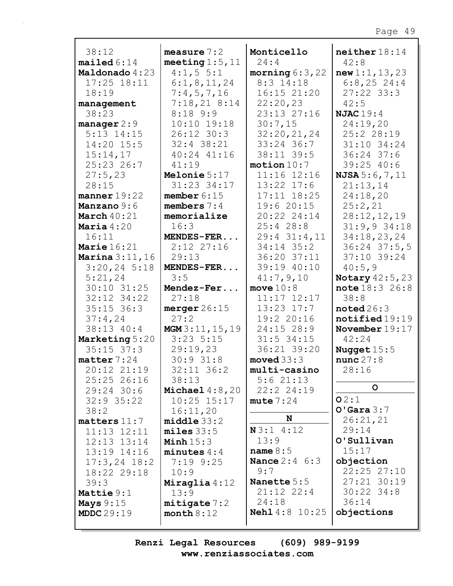| 38:12                      | measure $7:2$        | Monticello                        | neither 18:14            |
|----------------------------|----------------------|-----------------------------------|--------------------------|
| mailed 6:14                | meeting $1:5$ , $11$ | 24:4                              | 42:8                     |
| Maldonado 4:23             | 4:1, 5 5:1           | morning $6:3$ , 22                | new1:1, 13, 23           |
| $17:25$ $18:11$            | 6:1,8,11,24          | 8:3 14:18                         | 6:8,25,24:4              |
| 18:19                      | 7:4,5,7,16           | 16:15 21:20                       | $27:22$ 33:3             |
| management                 | 7:18,218:14          | 22:20,23                          | 42:5                     |
| 38:23                      | $8:18$ 9:9           | 23:13 27:16                       | <b>NJAC</b> 19:4         |
| manager $2:9$              | $10:10$ $19:18$      | 30:7,15                           | 24:19,20                 |
| $5:13$ $14:15$             | 26:12 30:3           | 32:20,21,24                       | 25:2 28:19               |
| 14:20 15:5                 | 32:4 38:21           | 33:24 36:7                        | 31:10 34:24              |
| 15:14,17                   | 40:24 41:16          | 38:11 39:5                        | $36:24$ 37:6             |
| 25:23 26:7                 | 41:19                | motion 10:7                       | $39:25$ 40:6             |
| 27:5,23                    | Melonie $5:17$       | 11:16 12:16                       | NJSA 5:6,7,11            |
| 28:15                      | 31:23 34:17          | $13:22$ $17:6$                    | 21:13,14                 |
| manner $19:22$             | member $6:15$        | $17:11$ $18:25$                   | 24:18,20                 |
| Manzano 9:6                | members $7:4$        | 19:620:15                         | 25:2,21                  |
| March $40:21$              | memorialize          | 20:22 24:14                       | 28:12,12,19              |
| Maria $4:20$               | 16:3                 | 25:428:8                          | $31:9,9$ 34:18           |
| 16:11                      | MENDES-FER           | $29:4$ $31:4,11$                  | 34:18,23,24              |
| Marie $16:21$              | $2:12$ $27:16$       | 34:14 35:2                        | $36:24$ $37:5$ , 5       |
| <b>Marina</b> $3:11,16$    | 29:13                | 36:20 37:11                       | $37:10$ 39:24            |
| $3:20,24$ 5:18             | MENDES-FER           | 39:19 40:10                       | 40:5,9                   |
| 5:21,24                    | 3:5                  | 41:7,9,10                         | <b>Notary</b> $42:5, 23$ |
| 30:10 31:25<br>32:12 34:22 | Mendez-Fer<br>27:18  | move $10:8$                       | note 18:3 26:8<br>38:8   |
| $35:15$ 36:3               | merger $26:15$       | $11:17$ $12:17$<br>$13:23$ $17:7$ | $\texttt{noted}26:3$     |
| 37:4,24                    | 27:2                 | 19:2 20:16                        | notified19:19            |
| 38:13 40:4                 | MGM3:11, 15, 19      | 24:15 28:9                        | November $19:17$         |
| Marketing 5:20             | $3:23$ 5:15          | $31:5$ 34:15                      | 42:24                    |
| $35:15$ $37:3$             | 29:19,23             | 36:21 39:20                       | Nugget $15:5$            |
| matter $7:24$              | 30:931:8             | moved $33:3$                      | nunc27:8                 |
| 20:12 21:19                | $32:11$ $36:2$       | multi-casino                      | 28:16                    |
| 25:25 26:16                | 38:13                | 5:621:13                          |                          |
| $29:24$ 30:6               | Michael $4:8,20$     | 22:2 24:19                        | $\mathsf{o}$             |
| $32:9$ 35:22               | $10:25$ $15:17$      | mute $7:24$                       | O2:1                     |
| 38:2                       | 16:11,20             |                                   | $O'$ Gara $3:7$          |
| $matters$ 11:7             | middle33:2           | N                                 | 26:21,21                 |
| $11:13$ $12:11$            | $miles$ 33:5         | N3:14:12                          | 29:14                    |
| $12:13$ $13:14$            | Minh $15:3$          | 13:9                              | O'Sullivan               |
| 13:19 14:16                | minutes $4:4$        | name $8:5$                        | 15:17                    |
| $17:3, 24$ 18:2            | $7:19$ $9:25$        | <b>Nance</b> $2:4 \ 6:3$          | objection                |
| 18:22 29:18                | 10:9                 | 9:7                               | 22:25 27:10              |
| 39:3                       | Miraglia $4:12$      | Nanette 5:5                       | 27:21 30:19              |
| Mattie 9:1                 | 13:9                 | $21:12$ $22:4$                    | $30:22$ 34:8             |
| Mays $9:15$                | mitigate 7:2         | 24:18                             | 36:14                    |
| MDDC29:19                  | month $8:12$         | <b>Nehl</b> 4:8 10:25             | objections               |
|                            |                      |                                   |                          |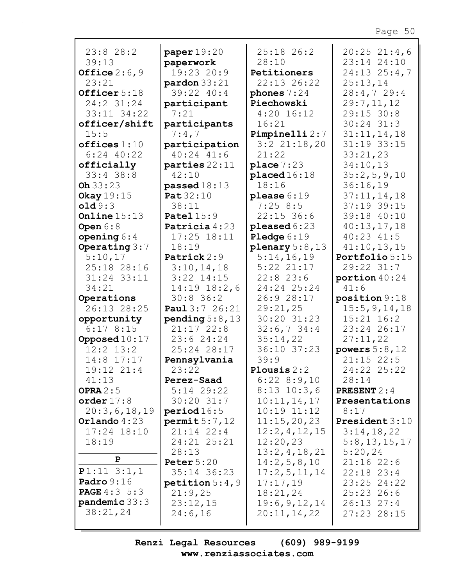| 23:828:2            | paper $19:20$          | 25:18 26:2         | $20:25$ 21:4,6       |
|---------------------|------------------------|--------------------|----------------------|
| 39:13               | paperwork              | 28:10              | 23:14 24:10          |
| Office $2:6,9$      | 19:23 20:9             | Petitioners        | $24:13$ $25:4,7$     |
| 23:21               | $\text{pardon}\,33:21$ | 22:13 26:22        | 25:13,14             |
| Officer 5:18        | 39:22 40:4             | phones $7:24$      | 28:4,729:4           |
| 24:2 31:24          | participant            | Piechowski         | 29:7,11,12           |
| 33:11 34:22         | 7:21                   | $4:20$ 16:12       | 29:15 30:8           |
| officer/shift       | participants           | 16:21              | $30:24$ $31:3$       |
| 15:5                | 7:4,7                  | Pimpinelli 2:7     | 31:11,14,18          |
| offices 1:10        | participation          | $3:2$ $21:18,20$   | 31:19 33:15          |
| $6:24$ $40:22$      | $40:24$ $41:6$         | 21:22              | 33:21,23             |
| officially          | parties $22:11$        | place $7:23$       | 34:10,13             |
| $33:4$ 38:8         | 42:10                  | placed 16:18       | 35:2,5,9,10          |
| Oh 33:23            | passed $18:13$         | 18:16              | 36:16,19             |
| Okay $19:15$        | Pat 32:10              | please $6:19$      |                      |
|                     |                        |                    | 37:11,14,18          |
| old9:3              | 38:11                  | 7:258:5            | 37:19 39:15          |
| Online $15:13$      | Patel $15:9$           | $22:15$ 36:6       | 39:18 40:10          |
| Open $6:8$          | Patricia 4:23          | pleased $6:23$     | 40:13,17,18          |
| opening $6:4$       | $17:25$ $18:11$        | Pledge $6:19$      | $40:23$ $41:5$       |
| Operating $3:7$     | 18:19                  | plenary $5:8$ , 13 | 41:10,13,15          |
| 5:10,17             | Patrick 2:9            | 5:14,16,19         | Portfolio 5:15       |
| 25:18 28:16         | 3:10,14,18             | $5:22$ $21:17$     | 29:22 31:7           |
| 31:24 33:11         | $3:22$ $14:15$         | $22:8$ 23:6        | portion $40:24$      |
| 34:21               | $14:19$ $18:2,6$       | 24:24 25:24        | 41:6                 |
| Operations          | $30:8$ 36:2            | 26:9 28:17         | position 9:18        |
| 26:13 28:25         | <b>Paul</b> 3:7 26:21  | 29:21,25           | 15:5, 9, 14, 18      |
| opportunity         | pending $5:8,13$       | 30:20 31:23        | $15:21$ $16:2$       |
| 6:178:15            | $21:17$ $22:8$         | 32:6,734:4         | 23:24 26:17          |
| Opposed $10:17$     | 23:624:24              | 35:14,22           | 27:11,22             |
| $12:2$ $13:2$       | 25:24 28:17            | 36:10 37:23        | powers $5:8,12$      |
| 14:8 17:17          | Pennsylvania           | 39:9               | $21:15$ 22:5         |
| 19:12 21:4          | 23:22                  | Plousis $2:2$      | 24:22 25:22          |
| 41:13               | Perez-Saad             | $6:22$ $8:9,10$    | 28:14                |
| OPRA $2:5$          | $5:14$ 29:22           | $8:13$ 10:3,6      | <b>PRESENT</b> $2:4$ |
| order $17:8$        | $30:20$ $31:7$         | 10:11,14,17        | Presentations        |
|                     |                        |                    |                      |
| 20:3,6,18,19        | period 16:5            | $10:19$ $11:12$    | 8:17                 |
| Orlando $4:23$      | permit5:7,12           | 11:15,20,23        | President 3:10       |
| $17:24$ $18:10$     | $21:14$ $22:4$         | 12:2,4,12,15       | 3:14,18,22           |
| 18:19               | 24:21 25:21            | 12:20,23           | 5:8,13,15,17         |
|                     | 28:13                  | 13:2,4,18,21       | 5:20,24              |
| P                   | Peter $5:20$           | 14:2,5,8,10        | 21:1622:6            |
| $P1:11$ 3:1,1       | 35:14 36:23            | 17:2,5,11,14       | $22:18$ $23:4$       |
| Padro $9:16$        | petition $5:4$ , 9     | 17:17,19           | 23:25 24:22          |
| <b>PAGE</b> 4:3 5:3 | 21:9,25                | 18:21,24           | $25:23$ 26:6         |
| pandemic $33:3$     | 23:12,15               | 19:6, 9, 12, 14    | $26:13$ $27:4$       |
| 38:21,24            | 24:6,16                | 20:11,14,22        | 27:23 28:15          |
|                     |                        |                    |                      |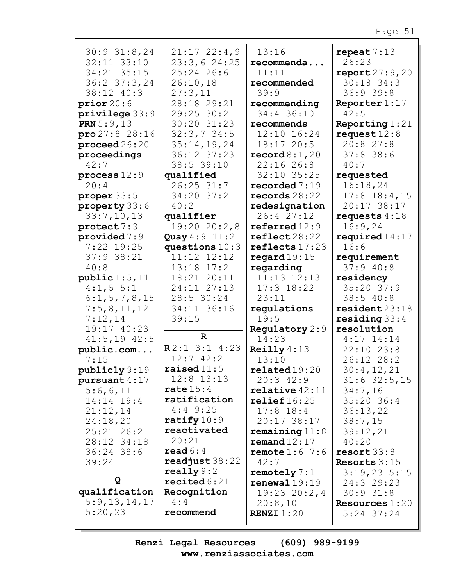| $30:9$ 31:8,24           | $21:17$ $22:4,9$    | 13:16                   | repeat $7:13$           |
|--------------------------|---------------------|-------------------------|-------------------------|
| 32:11 33:10              | 23:3,624:25         | recommenda              | 26:23                   |
| 34:21 35:15              | $25:24$ 26:6        | 11:11                   | report27:9,20           |
| $36:2$ $37:3$ , 24       | 26:10,18            | recommended             | $30:18$ 34:3            |
| 38:12 40:3               | 27:3,11             | 39:9                    | 36:939:8                |
| prior20:6                | 28:18 29:21         | recommending            | Reporter $1:17$         |
| privilege 33:9           | $29:25$ 30:2        | 34:4 36:10              | 42:5                    |
| <b>PRN</b> $5:9,13$      | 30:20 31:23         | recommends              | Reporting $1:21$        |
| $\text{pro } 27:8$ 28:16 | 32:3,734:5          | 12:10 16:24             | request $12:8$          |
| $\mathbf{proceed 26:20}$ | 35:14,19,24         | 18:1720:5               | 20:827:8                |
| proceedings              | 36:12 37:23         | $\texttt{record8:1,20}$ | $37:8$ 38:6             |
| 42:7                     | 38:5 39:10          | 22:1626:8               | 40:7                    |
| process $12:9$           | qualified           | 32:10 35:25             | requested               |
| 20:4                     | $26:25$ 31:7        | recorded $7:19$         | 16:18,24                |
| proper 33:5              | $34:20$ 37:2        | records $28:22$         | $17:8$ 18:4,15          |
| property 33:6            | 40:2                | redesignation           | 20:17 38:17             |
| 33:7,10,13               | qualifier           | 26:427:12               | requests $4:18$         |
| protect 7:3              | 19:2020:2,8         | referred 12:9           | 16:9,24                 |
| provided $7:9$           | Quay $4:9$ 11:2     | $\texttt{reflect}28:22$ | required $14:17$        |
| $7:22$ 19:25             | questions $10:3$    | reflects 17:23          | 16:6                    |
| $37:9$ 38:21             | 11:12 12:12         | regard $19:15$          | requirement             |
| 40:8                     | $13:18$ $17:2$      | regarding               | 37:940:8                |
| public 1:5, 11           | 18:21 20:11         | $11:13$ $12:13$         | residency               |
| 4:1, 5 5:1               | 24:11 27:13         | $17:3$ $18:22$          | 35:20 37:9              |
| 6:1, 5, 7, 8, 15         | 28:5 30:24          | 23:11                   | 38:540:8                |
| 7:5,8,11,12              | 34:11 36:16         | regulations             | resident23:18           |
| 7:12,14                  | 39:15               | 19:5                    | residing $33:4$         |
| 19:17 40:23              |                     | Regulatory 2:9          | resolution              |
| $41:5, 19$ $42:5$        | $\mathbf R$         | 14:23                   | $4:17$ $14:14$          |
| public.com               | $R2:1$ 3:1 4:23     | Reilly $4:13$           | $22:10$ $23:8$          |
| 7:15                     | $12:7$ $42:2$       | 13:10                   | 26:12 28:2              |
| publicly 9:19            | raised $11:5$       | related19:20            | 30:4,12,21              |
| pursuant $4:17$          | $12:8$ $13:13$      | $20:3$ 42:9             | $31:6$ 32:5, 15         |
| 5:6,6,11                 | rate $15:4$         | $relative$ 42:11        | 34:7,16                 |
| 14:14 19:4               | ratification        | relief16:25             | 35:20 36:4              |
| 21:12,14                 | $4:4$ 9:25          | $17:8$ $18:4$           | 36:13,22                |
| 24:18,20                 | ratify $10:9$       | 20:17 38:17             | 38:7,15                 |
| $25:21$ $26:2$           | reactivated         | remaining $11:8$        | 39:12,21                |
| 28:12 34:18              | 20:21               | remand $12:17$          | 40:20                   |
| $36:24$ 38:6             | $\texttt{read} 6:4$ | remote $1:6$ 7:6        | resort 33:8             |
| 39:24                    | readjust 38:22      | 42:7                    | Resorts $3:15$          |
|                          | really $9:2$        | remotely $7:1$          | $3:19,23$ 5:15          |
| Q                        | recited $6:21$      | renewal19:19            | 24:3 29:23              |
| qualification            | Recognition         | $19:23$ $20:2,4$        | 30:931:8                |
| 5:9,13,14,17             | 4:4                 | 20:8,10                 | <b>Resources</b> $1:20$ |
| 5:20,23                  | recommend           | <b>RENZI</b> $1:20$     | $5:24$ 37:24            |
|                          |                     |                         |                         |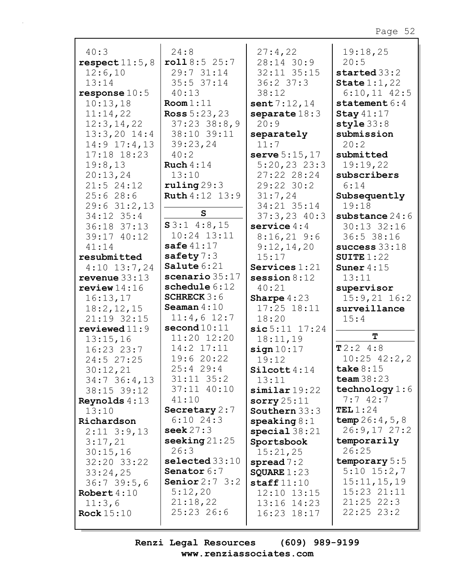| 40:3                        | 24:8                   | 27:4,22                    | 19:18,25                       |
|-----------------------------|------------------------|----------------------------|--------------------------------|
| respect11:5,8               | roll8:525:7            | 28:14 30:9                 | 20:5                           |
| 12:6,10                     | 29:7 31:14             | 32:11 35:15                | started 33:2                   |
| 13:14                       | $35:5$ $37:14$         | $36:2$ 37:3                | State $1:1,22$                 |
| response $10:5$             | 40:13                  | 38:12                      | $6:10,11$ 42:5                 |
| 10:13,18                    | Room 1:11              | sent $7:12,14$             | statement $6:4$                |
| 11:14,22                    | <b>Ross</b> $5:23,23$  | separate $18:3$            | Stay $41:17$                   |
| 12:3, 14, 22                | $37:23$ $38:8,9$       | 20:9                       | style 33:8                     |
| $13:3,20$ 14:4              | 38:10 39:11            | separately                 | submission                     |
| $14:9$ $17:4$ , 13          | 39:23,24               | 11:7                       | 20:2                           |
| $17:18$ $18:23$             | 40:2                   | serve $5:15,17$            | submitted                      |
| 19:8,13                     | Ruch $4:14$            | $5:20,23$ 23:3             | 19:19,22                       |
| 20:13,24                    | 13:10                  | 27:22 28:24                | subscribers                    |
| $21:5$ 24:12                | ruling 29:3            | 29:22 30:2                 | 6:14                           |
| 25:628:6                    | <b>Ruth</b> 4:12 13:9  | 31:7,24                    | Subsequently                   |
| $29:6$ 31:2,13              |                        | 34:21 35:14                | 19:18                          |
| 34:12 35:4                  | $\mathbf{s}$           | $37:3,23$ 40:3             | substance $24:6$               |
| 36:18 37:13                 | $S3:1$ 4:8,15          | service $4:4$              | 30:13 32:16                    |
| 39:17 40:12                 | $10:24$ $13:11$        | $8:16,21$ 9:6              | 36:5 38:16                     |
| 41:14                       | safe $41:17$           | 9:12,14,20                 | success $33:18$                |
| resubmitted                 | safety $7:3$           | 15:17                      | SUITE $1:22$                   |
| $4:10$ 13:7,24              | Salute 6:21            | Services $1:21$            | Suner $4:15$                   |
| revenue $33:13$             | scenario 35:17         | session $8:12$             | 13:11                          |
| review $14:16$              | schedule 6:12          | 40:21                      | supervisor                     |
| 16:13,17                    | <b>SCHRECK</b> $3:6$   | <b>Sharpe</b> $4:23$       | $15:9,21$ $16:2$               |
| 18:2, 12, 15                | Seaman $4:10$          | $17:25$ $18:11$            | surveillance                   |
| 21:19 32:15                 | $11:4,6$ 12:7          | 18:20                      | 15:4                           |
| reviewed $11:9$             | second $10:11$         | $sic5:11$ 17:24            |                                |
|                             | 11:20 12:20            |                            | т                              |
| 13:15,16                    |                        | 18:11,19                   |                                |
| $16:23$ $23:7$              | 14:2 17:11             | sign 10:17                 | T2:24:8                        |
| 24:5 27:25                  | 19:6 20:22             | 19:12                      | $10:25$ 42:2,2                 |
| 30:12,21                    | 25:429:4               | $\texttt{Silcott}4:14$     | take $8:15$                    |
| $34:7$ 36:4,13              | $31:11$ $35:2$         | 13:11                      | team $38:23$                   |
| 38:15 39:12                 | 37:11 40:10            | $\sinilar$ 19:22           | technology $1:6$               |
| <b>Reynolds</b> $4:13$      | 41:10                  | sorry $25:11$              | 7:742:7                        |
| 13:10                       | Secretary $2:7$        | Southern 33:3              | TEL1:24                        |
| Richardson                  | $6:10$ 24:3            | $\texttt{speaking8:1}$     | temp $26:4,5,8$                |
| $2:11$ $3:9,13$             | seek $27:3$            | special $38:21$            | 26:9,1727:2                    |
| 3:17,21                     | seeking $21:25$        | Sportsbook                 | temporarily                    |
| 30:15,16                    | 26:3                   | 15:21,25                   | 26:25                          |
| 32:20 33:22                 | selected 33:10         | spread 7:2                 | temporary 5:5                  |
| 33:24,25                    | <b>Senator</b> $6:7$   | SQUARE $1:23$              | $5:10$ $15:2,7$                |
| 36:739:5,6                  | Senior $2:7$ 3:2       | $\texttt{staff11:10}$      | 15:11, 15, 19                  |
| Robert $4:10$               | 5:12,20                | 12:10 13:15                | $15:23$ $21:11$                |
| 11:3,6<br><b>Rock</b> 15:10 | 21:18,22<br>25:23 26:6 | 13:16 14:23<br>16:23 18:17 | $21:25$ 22:3<br>$22:25$ $23:2$ |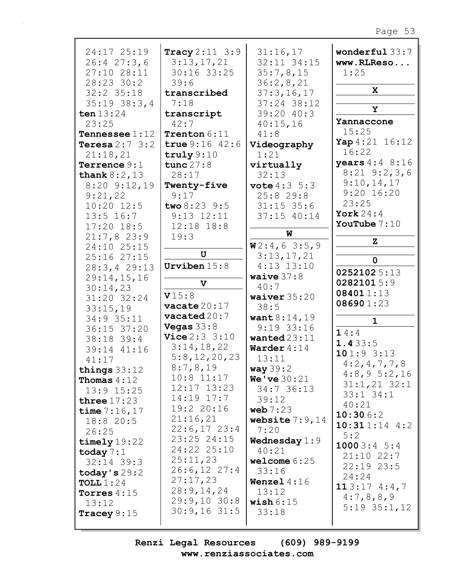| 24:17 25:19             | Tracy $2:11 \ 3:9$       | 31:16,17                | wonderful 33:7            |
|-------------------------|--------------------------|-------------------------|---------------------------|
| 26:427:3,6              | 3:13,17,21               | 32:11 34:15             | www.RLReso                |
| 27:10 28:11             | 30:16 33:25              | 35:7,8,15               | 1:25                      |
| 28:23 30:2              | 39:6                     | 36:2,8,21               |                           |
| $32:2$ $35:18$          | transcribed              | 37:3,16,17              | X                         |
| $35:19$ $38:3,4$        | 7:18                     | 37:24 38:12             |                           |
| ten $13:24$             | transcript               | 39:20 40:3              | Y                         |
| 23:25                   | 42:7                     | 40:15,16                | Yannaccone                |
| <b>Tennessee</b> $1:12$ | Trenton $6:11$           | 41:8                    | 15:25                     |
| Teresa $2:7$ 3:2        | true $9:16$ 42:6         | Videography             | Yap 4:21 16:12            |
| 21:18,21                | truly $9:10$             | 1:21                    | 16:22                     |
| Terrence 9:1            | tunc $27:8$              | virtually               | <b>years</b> $4:4$ $8:16$ |
| thank $8:2,13$          | 28:17                    | 32:13                   | $8:21$ $9:2,3,6$          |
| $8:20$ $9:12,19$        | Twenty-five              | <b>vote</b> $4:3 \ 5:3$ | 9:10,14,17                |
| 9:21,22                 | 9:17                     | 25:829:8                | $9:20$ 16:20              |
| $10:20$ $12:5$          | two 8:23 9:5             | $31:15$ 35:6            | 23:25                     |
|                         | $9:13$ $12:11$           |                         | York $24:4$               |
| $13:5$ 16:7             |                          | $37:15$ $40:14$         | YouTube $7:10$            |
| $17:20$ 18:5            | $12:18$ $18:8$           | W                       |                           |
| 21:7,823:9              | 19:3                     |                         | z                         |
| 24:10 25:15             | $\mathbf U$              | W2:4,63:5,9             |                           |
| 25:16 27:15             |                          | 3:13,17,21              | 0                         |
| 28:3, 429:13            | Urviben $15:8$           | $4:13$ $13:10$          | 02521025:13               |
| 29:14,15,16             | $\mathbf v$              | waive $37:8$            | 02821015:9                |
| 30:14,23                |                          | 40:7                    | 084011:13                 |
| 31:20 32:24             | V15:8                    | waiver $35:20$          | 086901:23                 |
| 33:15,19                | vacate $20:17$           | 38:5                    |                           |
| 34:9 35:11              | $\texttt{vacated20:7}$   | want $8:14,19$          | $\mathbf{1}$              |
| 36:15 37:20             | Vegas $33:8$             | $9:19$ 33:16            | 14:4                      |
| 38:18 39:4              | <b>Vice</b> $2:3$ $3:10$ | wanted $23:11$          | 1.433:5                   |
| 39:14 41:16             | 3:14,18,22               | Warder $4:14$           | 101:93:13                 |
| 41:17                   | 5:8,12,20,23             | 13:11                   |                           |
| things $33:12$          | 8:7,8,19                 | way $39:2$              | 4:2,4,7,7,8               |
| <b>Thomas</b> $4:12$    | $10:8$ 11:17             | <b>We've</b> $30:21$    | 4:8,95:2,16               |
| $13:9$ $15:25$          | 12:17 13:23              | 34:736:13               | $31:1,21$ $32:1$          |
| three $17:23$           | $14:19$ $17:7$           | 39:12                   | $33:1$ $34:1$             |
| time $7:16,17$          | 19:2 20:16               | web $7:23$              | 40:21                     |
| 18:820:5                | 21:16,21                 | website $7:9$ , 14      | 10:306:2                  |
| 26:25                   | $22:6,17$ 23:4           | 7:20                    | $10:311:14$ 4:2           |
|                         | $23:25$ $24:15$          | Wednesday $1:9$         | 5:2                       |
| timely $19:22$          | 24:22 25:10              | 40:21                   | 10003:45:3                |
| today $7:1$             | 25:11,23                 | welcome $6:25$          | $21:10$ $22:7$            |
| $32:14$ 39:3            | $26:6,12$ 27:4           |                         | $22:19$ $23:5$            |
| today's $29:2$          | 27:17,23                 | 33:16                   | 24:24                     |
| TOLL $1:24$             |                          | Wenzel $4:16$           | 113:174::47               |
| Torres $4:15$           | 28:9,14,24               | 13:12                   | 4:7,8,8,9                 |
| 13:12                   | $29:9,10$ 30:8           | wish $6:15$             | $5:19$ $35:1,12$          |
| Tracey $9:15$           | $30:9,16$ 31:5           | 33:18                   |                           |
|                         |                          |                         |                           |